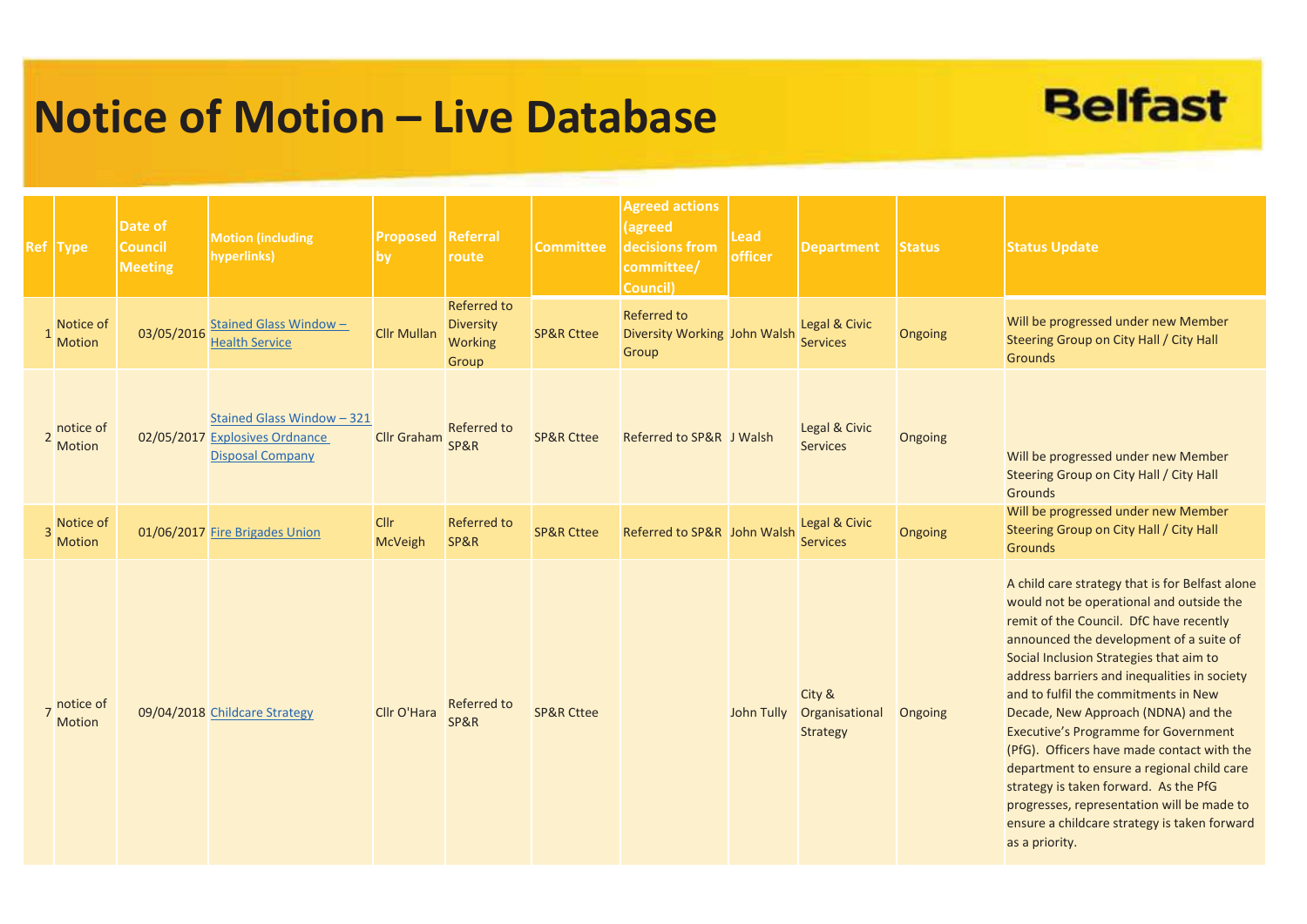## **Notice of Motion – Live Database**



| Ref Type                     | Date of<br><b>Council</b><br><b>Meeting</b> | <b>Motion (including</b><br>hyperlinks)                                                 | <b>Proposed Referral</b><br><b>by</b> | route                                                             | <b>Committee</b>      | <b>Agreed actions</b><br>agreed<br>decisions from<br>committee/<br>Council) | <b>Lead</b><br>officer | <b>Department</b>                           | <b>Status</b>  | <b>Status Update</b>                                                                                                                                                                                                                                                                                                                                                                                                                                                                                                                                                                                                                                            |
|------------------------------|---------------------------------------------|-----------------------------------------------------------------------------------------|---------------------------------------|-------------------------------------------------------------------|-----------------------|-----------------------------------------------------------------------------|------------------------|---------------------------------------------|----------------|-----------------------------------------------------------------------------------------------------------------------------------------------------------------------------------------------------------------------------------------------------------------------------------------------------------------------------------------------------------------------------------------------------------------------------------------------------------------------------------------------------------------------------------------------------------------------------------------------------------------------------------------------------------------|
| Notice of<br><b>Motion</b>   | 03/05/2016                                  | <b>Stained Glass Window-</b><br><b>Health Service</b>                                   | <b>Cllr Mullan</b>                    | <b>Referred to</b><br><b>Diversity</b><br><b>Working</b><br>Group | <b>SP&amp;R Cttee</b> | <b>Referred to</b><br>Diversity Working John Walsh<br>Group                 |                        | Legal & Civic<br><b>Services</b>            | <b>Ongoing</b> | Will be progressed under new Member<br>Steering Group on City Hall / City Hall<br><b>Grounds</b>                                                                                                                                                                                                                                                                                                                                                                                                                                                                                                                                                                |
| 2 notice of<br>Motion        |                                             | Stained Glass Window - 321<br>02/05/2017 Explosives Ordnance<br><b>Disposal Company</b> | <b>Cllr Graham</b>                    | <b>Referred to</b><br>SP&R                                        | <b>SP&amp;R Cttee</b> | Referred to SP&R J Walsh                                                    |                        | Legal & Civic<br><b>Services</b>            | Ongoing        | Will be progressed under new Member<br>Steering Group on City Hall / City Hall<br><b>Grounds</b>                                                                                                                                                                                                                                                                                                                                                                                                                                                                                                                                                                |
| 3 Notice of<br><b>Motion</b> |                                             | 01/06/2017 Fire Brigades Union                                                          | <b>CIIr</b><br><b>McVeigh</b>         | <b>Referred to</b><br>SP&R                                        | <b>SP&amp;R Cttee</b> | Referred to SP&R John Walsh                                                 |                        | Legal & Civic<br><b>Services</b>            | Ongoing        | Will be progressed under new Member<br>Steering Group on City Hall / City Hall<br><b>Grounds</b>                                                                                                                                                                                                                                                                                                                                                                                                                                                                                                                                                                |
| notice of<br><b>Motion</b>   |                                             | 09/04/2018 Childcare Strategy                                                           | Cllr O'Hara                           | <b>Referred to</b><br>SP&R                                        | <b>SP&amp;R Cttee</b> |                                                                             | John Tully             | City &<br>Organisational<br><b>Strategy</b> | Ongoing        | A child care strategy that is for Belfast alone<br>would not be operational and outside the<br>remit of the Council. DfC have recently<br>announced the development of a suite of<br>Social Inclusion Strategies that aim to<br>address barriers and inequalities in society<br>and to fulfil the commitments in New<br>Decade, New Approach (NDNA) and the<br><b>Executive's Programme for Government</b><br>(PfG). Officers have made contact with the<br>department to ensure a regional child care<br>strategy is taken forward. As the PfG<br>progresses, representation will be made to<br>ensure a childcare strategy is taken forward<br>as a priority. |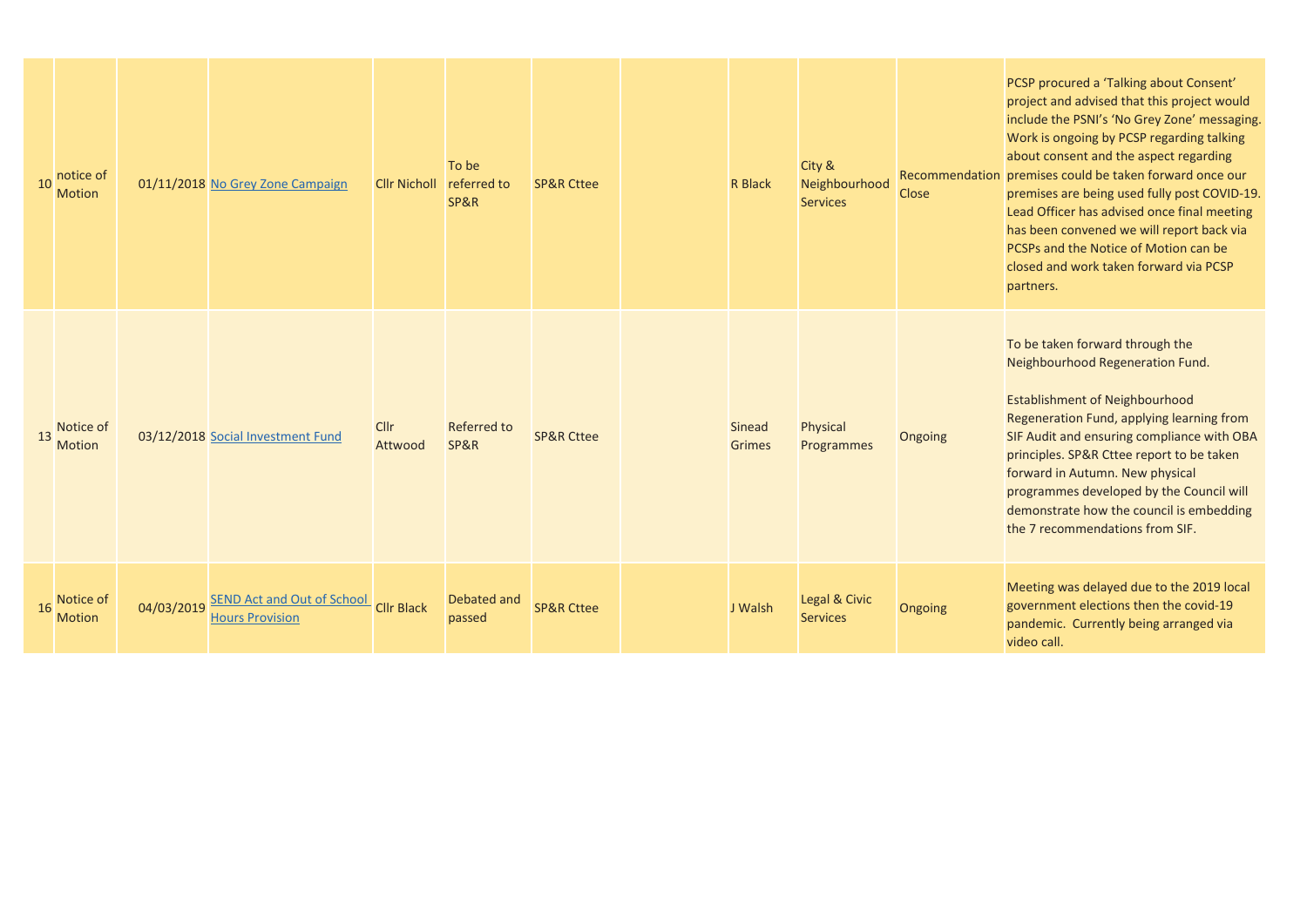| 10 | notice of<br><b>Motion</b> |            | 01/11/2018 No Grey Zone Campaign                            | <b>Cllr Nicholl</b> | To be<br>referred to<br>SP&R | <b>SP&amp;R Cttee</b> | <b>R</b> Black                 | City &<br>Neighbourhood<br><b>Services</b> | <b>Close</b> | PCSP procured a 'Talking about Consent'<br>project and advised that this project would<br>include the PSNI's 'No Grey Zone' messaging.<br>Work is ongoing by PCSP regarding talking<br>about consent and the aspect regarding<br>Recommendation premises could be taken forward once our<br>premises are being used fully post COVID-19.<br>Lead Officer has advised once final meeting<br>has been convened we will report back via<br>PCSPs and the Notice of Motion can be<br>closed and work taken forward via PCSP<br>partners. |
|----|----------------------------|------------|-------------------------------------------------------------|---------------------|------------------------------|-----------------------|--------------------------------|--------------------------------------------|--------------|--------------------------------------------------------------------------------------------------------------------------------------------------------------------------------------------------------------------------------------------------------------------------------------------------------------------------------------------------------------------------------------------------------------------------------------------------------------------------------------------------------------------------------------|
| 13 | Notice of<br><b>Motion</b> |            | 03/12/2018 Social Investment Fund                           | Cllr<br>Attwood     | <b>Referred to</b><br>SP&R   | <b>SP&amp;R Cttee</b> | <b>Sinead</b><br><b>Grimes</b> | Physical<br>Programmes                     | Ongoing      | To be taken forward through the<br>Neighbourhood Regeneration Fund.<br><b>Establishment of Neighbourhood</b><br>Regeneration Fund, applying learning from<br>SIF Audit and ensuring compliance with OBA<br>principles. SP&R Cttee report to be taken<br>forward in Autumn. New physical<br>programmes developed by the Council will<br>demonstrate how the council is embedding<br>the 7 recommendations from SIF.                                                                                                                   |
| 16 | Notice of<br><b>Motion</b> | 04/03/2019 | <b>SEND Act and Out of School</b><br><b>Hours Provision</b> | <b>Cllr Black</b>   | Debated and<br>passed        | <b>SP&amp;R Cttee</b> | J Walsh                        | Legal & Civic<br><b>Services</b>           | Ongoing      | Meeting was delayed due to the 2019 local<br>government elections then the covid-19<br>pandemic. Currently being arranged via<br>video call.                                                                                                                                                                                                                                                                                                                                                                                         |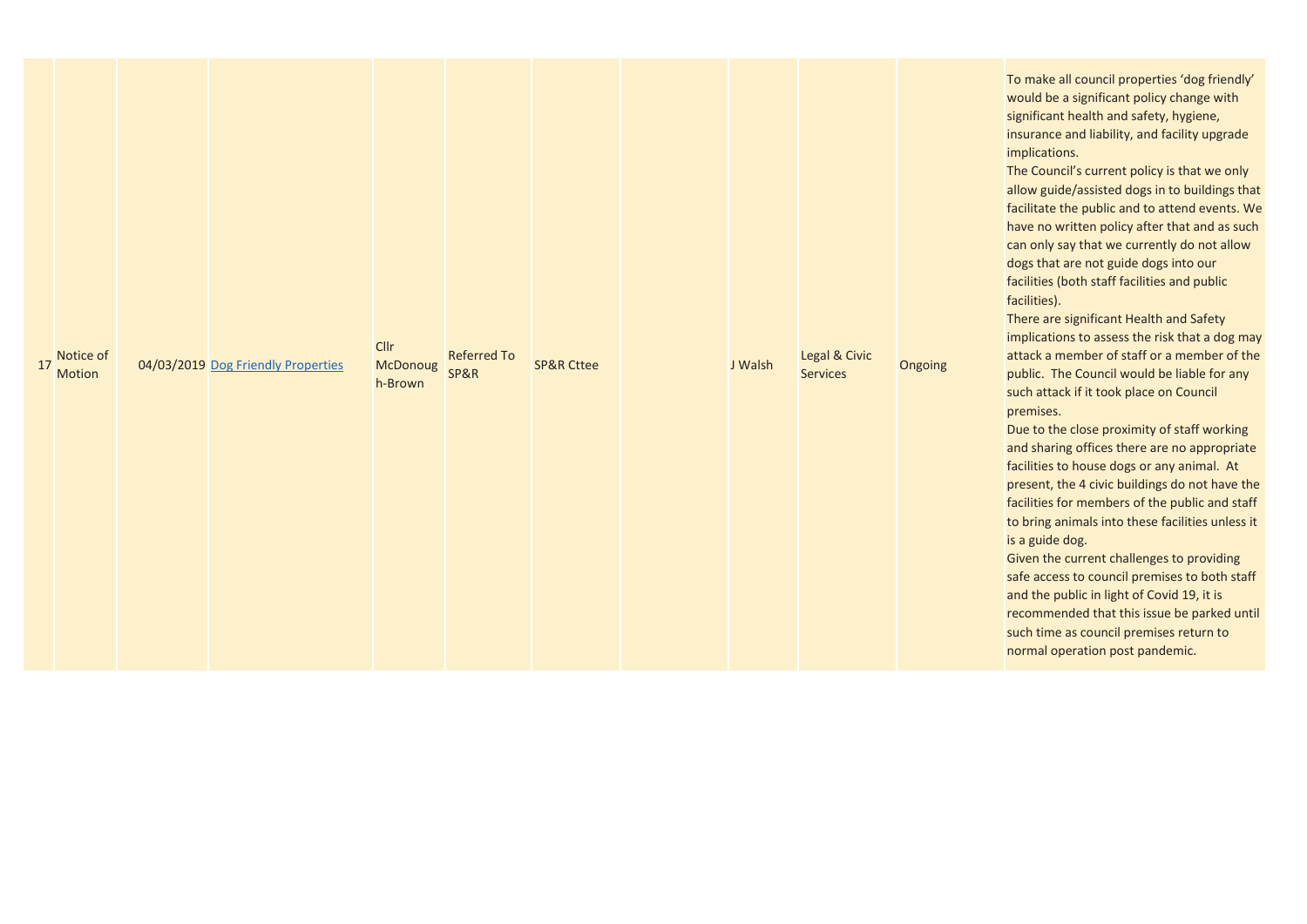| Notice of<br>17<br>Motion | 04/03/2019 Dog Friendly Properties | Cllr<br>McDonoug<br>h-Brown | <b>Referred To</b><br>SP&R | <b>SP&amp;R Cttee</b> |  | Legal & Civic<br>Services | Ongoing | To r<br><b>WOL</b><br>sign<br>insu<br>imp<br>The<br>allo<br>facil<br>hav<br>can<br>dog<br>facil<br>facil<br>The<br>imp<br>atta<br>pub<br>such<br>prer<br>Due<br>and<br>facil<br>pres<br>facil<br>to b<br>is a<br>Give<br>safe<br>and<br>reco<br>such<br>nor |
|---------------------------|------------------------------------|-----------------------------|----------------------------|-----------------------|--|---------------------------|---------|-------------------------------------------------------------------------------------------------------------------------------------------------------------------------------------------------------------------------------------------------------------|
|                           |                                    |                             |                            |                       |  | J Walsh                   |         |                                                                                                                                                                                                                                                             |

make all council properties 'dog friendly' uld be a significant policy change with ificant health and safety, hygiene, urance and liability, and facility upgrade lications.

Council's current policy is that we only w guide/assisted dogs in to buildings that ilitate the public and to attend events. We e no written policy after that and as such only say that we currently do not allow s that are not guide dogs into our lities (both staff facilities and public lities).

re are significant Health and Safety lications to assess the risk that a dog may attack a member of staff or a member of the lic. The Council would be liable for any h attack if it took place on Council mises.

to the close proximity of staff working sharing offices there are no appropriate lities to house dogs or any animal. At sent, the 4 civic buildings do not have the lities for members of the public and staff oring animals into these facilities unless it guide dog.

en the current challenges to providing access to council premises to both staff the public in light of Covid 19, it is mmended that this issue be parked until h time as council premises return to mal operation post pandemic.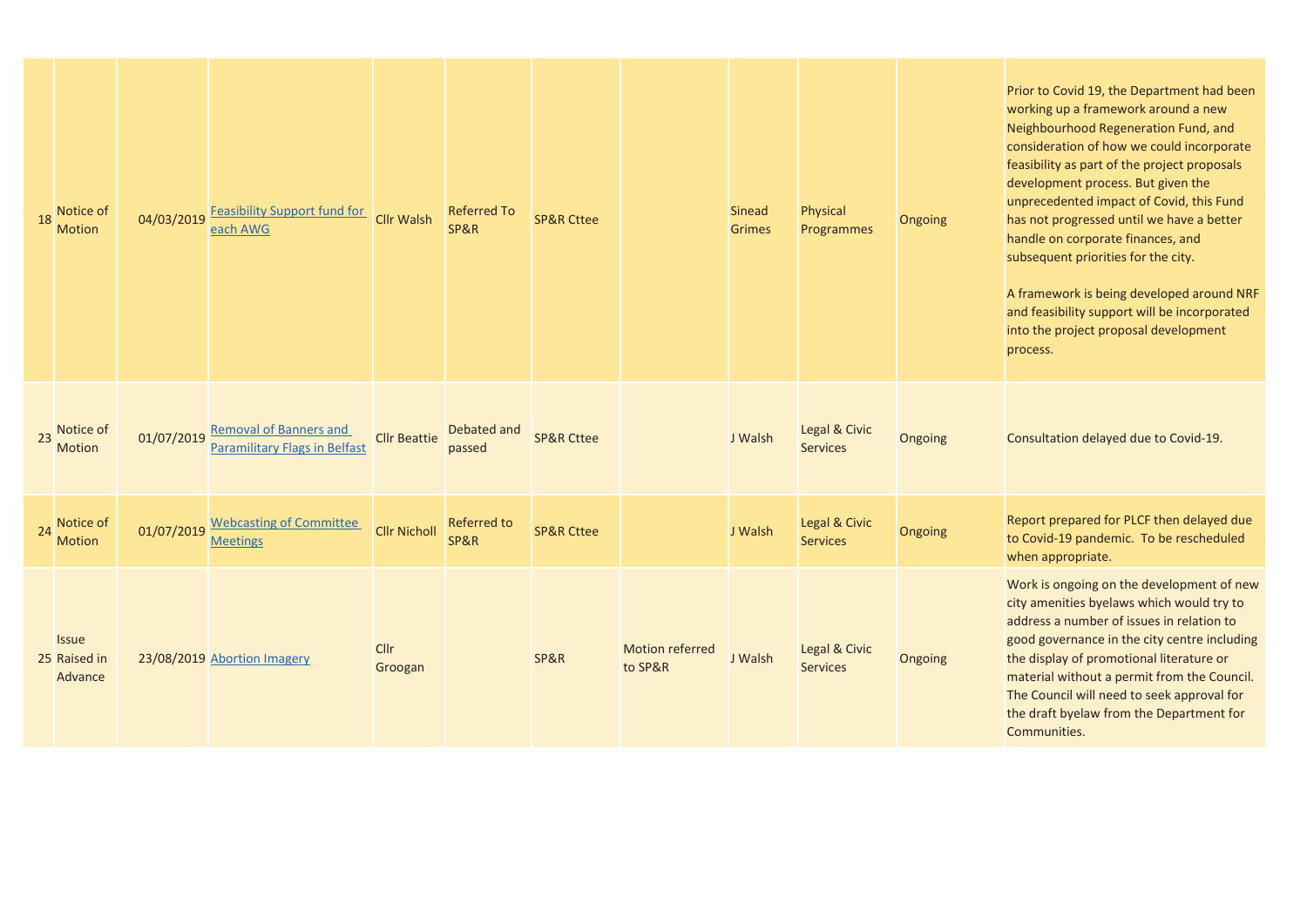| 18 | Notice of<br><b>Motion</b>              | 04/03/2019 | <b>Feasibility Support fund for</b><br>each AWG                       | <b>Cllr Walsh</b>      | <b>Referred To</b><br>SP&R | <b>SP&amp;R Cttee</b> |                                   | <b>Sinead</b><br><b>Grimes</b> | Physical<br>Programmes           | Ongoing | Prior to Covid 19, the Department had been<br>working up a framework around a new<br>Neighbourhood Regeneration Fund, and<br>consideration of how we could incorporate<br>feasibility as part of the project proposals<br>development process. But given the<br>unprecedented impact of Covid, this Fund<br>has not progressed until we have a better<br>handle on corporate finances, and<br>subsequent priorities for the city.<br>A framework is being developed around NRF<br>and feasibility support will be incorporated<br>into the project proposal development<br>process. |
|----|-----------------------------------------|------------|-----------------------------------------------------------------------|------------------------|----------------------------|-----------------------|-----------------------------------|--------------------------------|----------------------------------|---------|-------------------------------------------------------------------------------------------------------------------------------------------------------------------------------------------------------------------------------------------------------------------------------------------------------------------------------------------------------------------------------------------------------------------------------------------------------------------------------------------------------------------------------------------------------------------------------------|
| 23 | Notice of<br><b>Motion</b>              | 01/07/2019 | <b>Removal of Banners and</b><br><b>Paramilitary Flags in Belfast</b> | <b>Cllr Beattie</b>    | Debated and<br>passed      | <b>SP&amp;R Cttee</b> |                                   | J Walsh                        | Legal & Civic<br><b>Services</b> | Ongoing | Consultation delayed due to Covid-19.                                                                                                                                                                                                                                                                                                                                                                                                                                                                                                                                               |
| 24 | Notice of<br><b>Motion</b>              | 01/07/2019 | <b>Webcasting of Committee</b><br><b>Meetings</b>                     | <b>Cllr Nicholl</b>    | <b>Referred to</b><br>SP&R | <b>SP&amp;R Cttee</b> |                                   | J Walsh                        | Legal & Civic<br><b>Services</b> | Ongoing | Report prepared for PLCF then delayed due<br>to Covid-19 pandemic. To be rescheduled<br>when appropriate.                                                                                                                                                                                                                                                                                                                                                                                                                                                                           |
|    | <b>Issue</b><br>25 Raised in<br>Advance |            | 23/08/2019 Abortion Imagery                                           | <b>Cllr</b><br>Groogan |                            | SP&R                  | <b>Motion referred</b><br>to SP&R | J Walsh                        | Legal & Civic<br><b>Services</b> | Ongoing | Work is ongoing on the development of new<br>city amenities byelaws which would try to<br>address a number of issues in relation to<br>good governance in the city centre including<br>the display of promotional literature or<br>material without a permit from the Council.<br>The Council will need to seek approval for<br>the draft byelaw from the Department for<br>Communities.                                                                                                                                                                                            |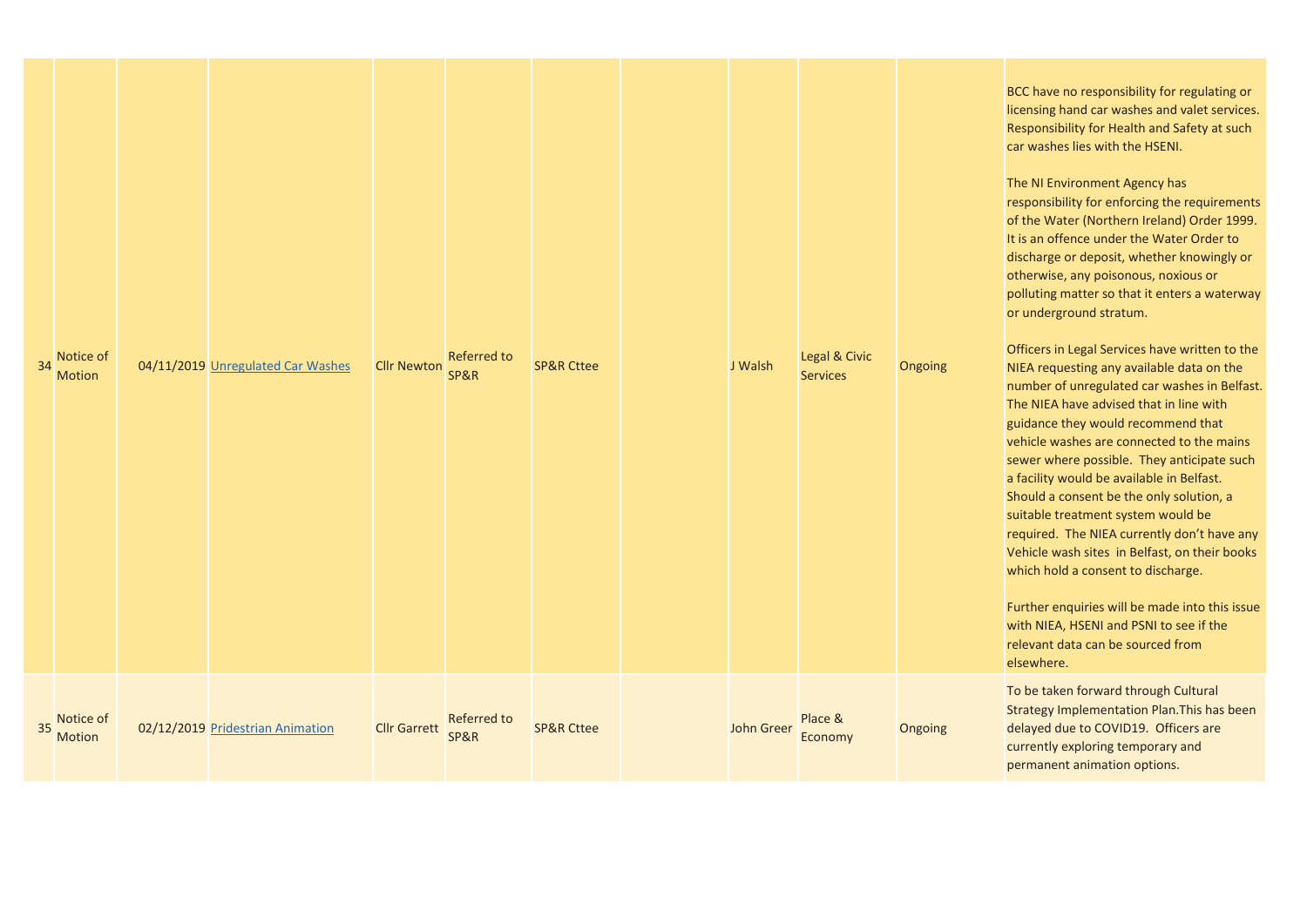| Notice of<br>34<br><b>Motion</b> | 04/11/2019 Unregulated Car Washes | <b>Cllr Newton</b>  | <b>Referred to</b><br>SP&R | <b>SP&amp;R Cttee</b> | J Walsh           | Legal & Civic<br><b>Services</b> | Ongoing | <b>BCC have no respons</b><br>licensing hand car wa<br><b>Responsibility for He</b><br>car washes lies with<br>The NI Environment<br>responsibility for enf<br>of the Water (Northe<br>It is an offence under<br>discharge or deposit,<br>otherwise, any poiso<br>polluting matter so t<br>or underground strat<br><b>Officers in Legal Serv</b><br><b>NIEA requesting any</b><br>number of unregulat<br>The NIEA have advise<br>guidance they would<br>vehicle washes are c<br>sewer where possibl<br>a facility would be av<br>Should a consent be<br>suitable treatment sy<br>required. The NIEA o<br>Vehicle wash sites in<br>which hold a consent<br><b>Further enquiries wil</b><br>with NIEA, HSENI and<br>relevant data can be<br>elsewhere. |
|----------------------------------|-----------------------------------|---------------------|----------------------------|-----------------------|-------------------|----------------------------------|---------|------------------------------------------------------------------------------------------------------------------------------------------------------------------------------------------------------------------------------------------------------------------------------------------------------------------------------------------------------------------------------------------------------------------------------------------------------------------------------------------------------------------------------------------------------------------------------------------------------------------------------------------------------------------------------------------------------------------------------------------------------|
| Notice of<br>35<br>Motion        | 02/12/2019 Pridestrian Animation  | <b>Cllr Garrett</b> | Referred to<br>SP&R        | <b>SP&amp;R Cttee</b> | <b>John Greer</b> | Place &<br>Economy               | Ongoing | To be taken forward<br><b>Strategy Implementa</b><br>delayed due to COVI<br>currently exploring to<br>permanent animatio                                                                                                                                                                                                                                                                                                                                                                                                                                                                                                                                                                                                                             |

sibility for regulating or rashes and valet services. ealth and Safety at such car washes lies with the HSENI.

**Agency has** forcing the requirements ern Ireland) Order 1999. It is an offence under the Water Order to digist, whether knowingly or onous, noxious or that it enters a waterway tum.

vices have written to the available data on the ted car washes in Belfast. The NIEA have advised that in line with d recommend that vehicle washes are connected to the mains le. They anticipate such vailable in Belfast. the only solution, a vstem would be currently don't have any n Belfast, on their books t to discharge.

Il be made into this issue d PSNI to see if the relevant data can be sourced from

I through Cultural ation Plan.This has been D19. Officers are temporary and on options.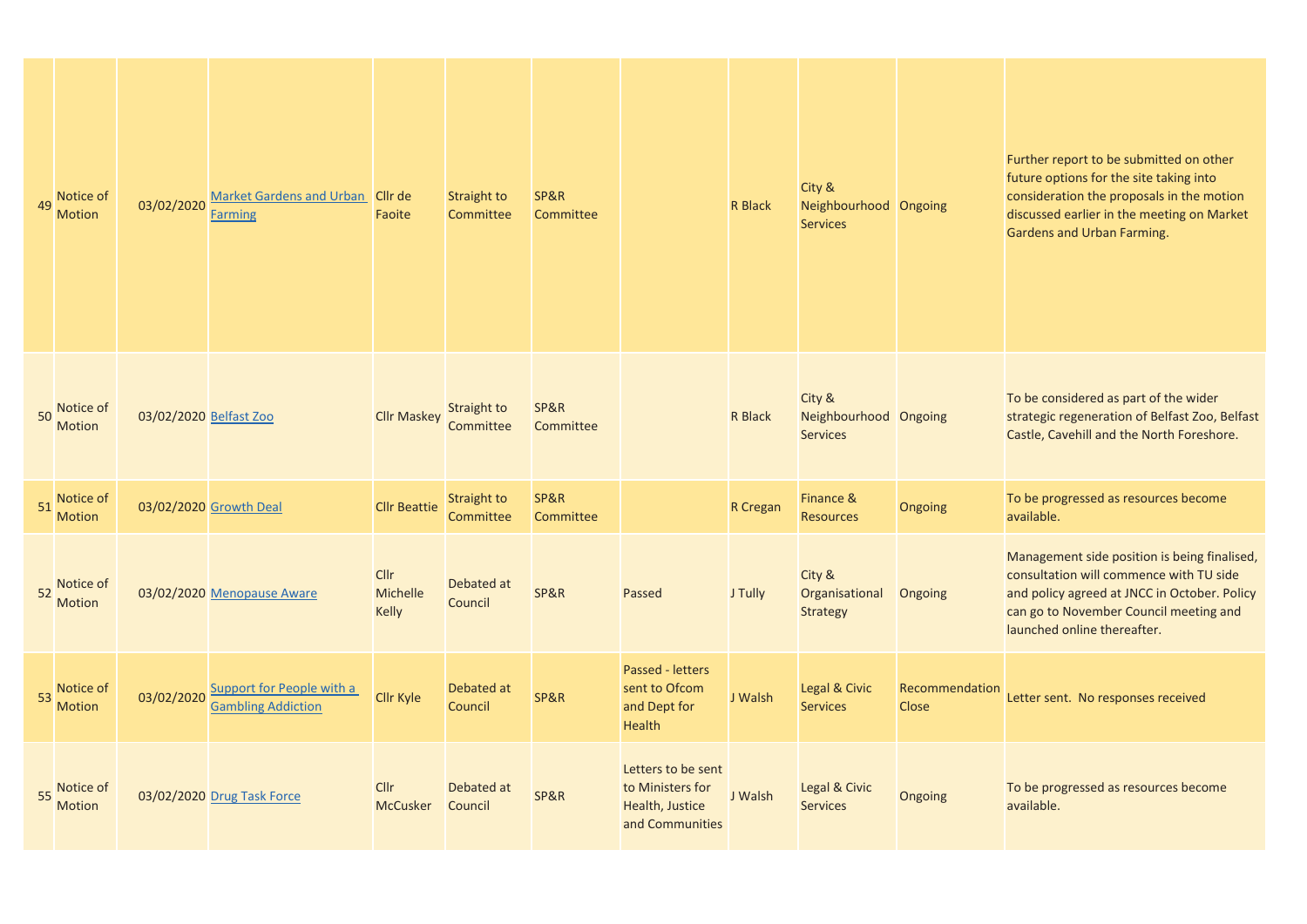| 49 | Notice of<br><b>Motion</b> | 03/02/2020             | Market Gardens and Urban Cllr de<br><b>Farming</b>            | Faoite                                  | Straight to<br>Committee | SP&R<br>Committee |                                                                              | <b>R</b> Black | City &<br>Neighbourhood Ongoing<br><b>Services</b> |                                | Further report to be submitted on other<br>future options for the site taking into<br>consideration the proposals in the motion<br>discussed earlier in the meeting on Market<br>Gardens and Urban Farming.      |
|----|----------------------------|------------------------|---------------------------------------------------------------|-----------------------------------------|--------------------------|-------------------|------------------------------------------------------------------------------|----------------|----------------------------------------------------|--------------------------------|------------------------------------------------------------------------------------------------------------------------------------------------------------------------------------------------------------------|
| 50 | Notice of<br><b>Motion</b> | 03/02/2020 Belfast Zoo |                                                               | <b>Cllr Maskey</b>                      | Straight to<br>Committee | SP&R<br>Committee |                                                                              | R Black        | City &<br>Neighbourhood Ongoing<br><b>Services</b> |                                | To be considered as part of the wider<br>strategic regeneration of Belfast Zoo, Belfast<br>Castle, Cavehill and the North Foreshore.                                                                             |
| 51 | Notice of<br><b>Motion</b> |                        | 03/02/2020 Growth Deal                                        | <b>Cllr Beattie</b>                     | Straight to<br>Committee | SP&R<br>Committee |                                                                              | R Cregan       | Finance &<br><b>Resources</b>                      | Ongoing                        | To be progressed as resources become<br>available.                                                                                                                                                               |
| 52 | Notice of<br><b>Motion</b> |                        | 03/02/2020 Menopause Aware                                    | <b>Cllr</b><br><b>Michelle</b><br>Kelly | Debated at<br>Council    | SP&R              | Passed                                                                       | J Tully        | City &<br>Organisational<br><b>Strategy</b>        | Ongoing                        | Management side position is being finalised,<br>consultation will commence with TU side<br>and policy agreed at JNCC in October. Policy<br>can go to November Council meeting and<br>launched online thereafter. |
| 53 | Notice of<br><b>Motion</b> | 03/02/2020             | <b>Support for People with a</b><br><b>Gambling Addiction</b> | Cllr Kyle                               | Debated at<br>Council    | SP&R              | Passed - letters<br>sent to Ofcom<br>and Dept for<br><b>Health</b>           | J Walsh        | Legal & Civic<br><b>Services</b>                   | Recommendation<br><b>Close</b> | Letter sent. No responses received                                                                                                                                                                               |
| 55 | Notice of<br><b>Motion</b> |                        | 03/02/2020 Drug Task Force                                    | Cllr<br><b>McCusker</b>                 | Debated at<br>Council    | SP&R              | Letters to be sent<br>to Ministers for<br>Health, Justice<br>and Communities | J Walsh        | Legal & Civic<br><b>Services</b>                   | Ongoing                        | To be progressed as resources become<br>available.                                                                                                                                                               |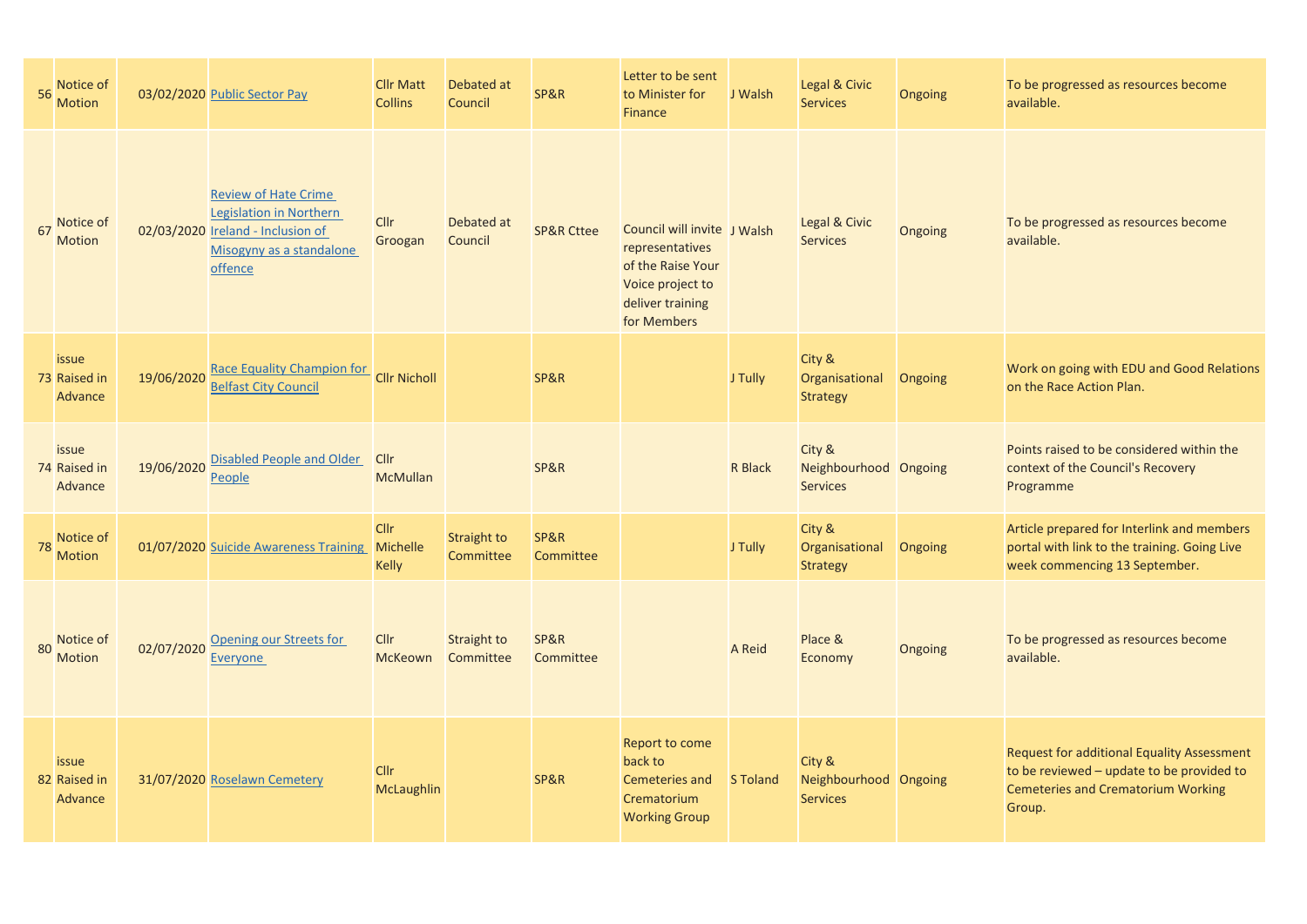|    | 56 Notice of<br>Motion                  |            | 03/02/2020 Public Sector Pay                                                                                                              | <b>Cllr Matt</b><br><b>Collins</b> | Debated at<br>Council           | SP&R                  | Letter to be sent<br>to Minister for<br><b>Finance</b>                                                                     | J Walsh         | Legal & Civic<br><b>Services</b>                   | Ongoing | To be progressed as resources become<br>available.                                                                                                    |
|----|-----------------------------------------|------------|-------------------------------------------------------------------------------------------------------------------------------------------|------------------------------------|---------------------------------|-----------------------|----------------------------------------------------------------------------------------------------------------------------|-----------------|----------------------------------------------------|---------|-------------------------------------------------------------------------------------------------------------------------------------------------------|
| 67 | Notice of<br><b>Motion</b>              |            | <b>Review of Hate Crime</b><br><b>Legislation in Northern</b><br>02/03/2020 Ireland - Inclusion of<br>Misogyny as a standalone<br>offence | Cllr<br>Groogan                    | Debated at<br>Council           | <b>SP&amp;R Cttee</b> | Council will invite J Walsh<br>representatives<br>of the Raise Your<br>Voice project to<br>deliver training<br>for Members |                 | Legal & Civic<br><b>Services</b>                   | Ongoing | To be progressed as resources become<br>available.                                                                                                    |
|    | issue<br>73 Raised in<br>Advance        | 19/06/2020 | <b>Race Equality Champion for</b><br><b>Belfast City Council</b>                                                                          | <b>Cllr Nicholl</b>                |                                 | SP&R                  |                                                                                                                            | J Tully         | City &<br>Organisational<br><b>Strategy</b>        | Ongoing | Work on going with EDU and Good Relations<br>on the Race Action Plan.                                                                                 |
|    | issue<br>74 Raised in<br>Advance        | 19/06/2020 | Disabled People and Older Cllr<br>People                                                                                                  | <b>McMullan</b>                    |                                 | SP&R                  |                                                                                                                            | <b>R</b> Black  | City &<br>Neighbourhood Ongoing<br><b>Services</b> |         | Points raised to be considered within the<br>context of the Council's Recovery<br>Programme                                                           |
| 78 | Notice of<br>Motion                     |            | 01/07/2020 Suicide Awareness Training                                                                                                     | Cllr<br>Michelle<br><b>Kelly</b>   | <b>Straight to</b><br>Committee | SP&R<br>Committee     |                                                                                                                            | J Tully         | City &<br>Organisational<br><b>Strategy</b>        | Ongoing | Article prepared for Interlink and members<br>portal with link to the training. Going Live<br>week commencing 13 September.                           |
| 80 | Notice of<br><b>Motion</b>              | 02/07/2020 | Opening our Streets for<br>Everyone                                                                                                       | <b>Cllr</b><br><b>McKeown</b>      | Straight to<br>Committee        | SP&R<br>Committee     |                                                                                                                            | A Reid          | Place &<br>Economy                                 | Ongoing | To be progressed as resources become<br>available.                                                                                                    |
|    | <i>issue</i><br>82 Raised in<br>Advance |            | 31/07/2020 Roselawn Cemetery                                                                                                              | <b>Cllr</b><br>McLaughlin          |                                 | SP&R                  | Report to come<br>back to<br>Cemeteries and<br>Crematorium<br><b>Working Group</b>                                         | <b>S</b> Toland | City &<br>Neighbourhood Ongoing<br><b>Services</b> |         | <b>Request for additional Equality Assessment</b><br>to be reviewed - update to be provided to<br><b>Cemeteries and Crematorium Working</b><br>Group. |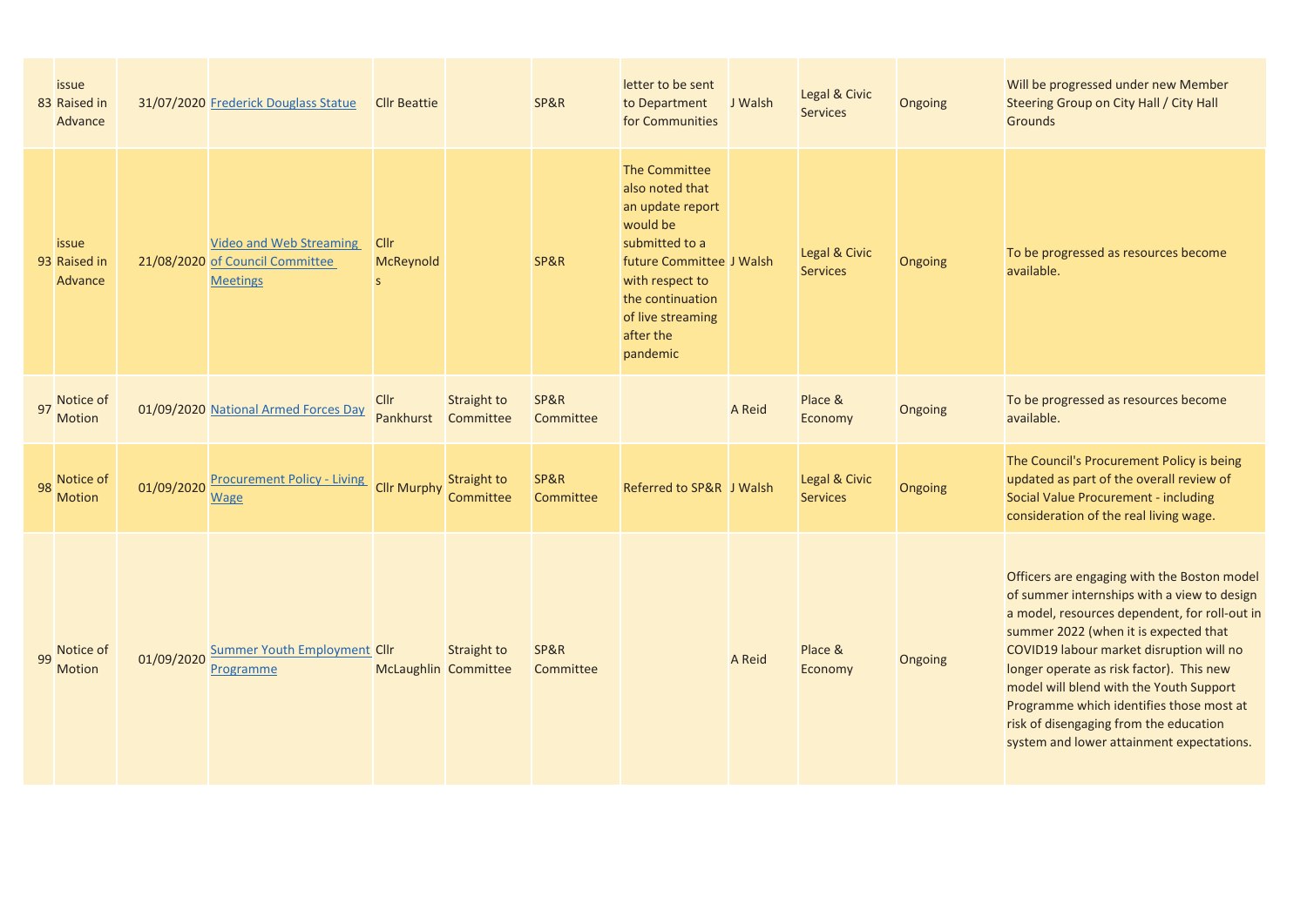|    | issue<br>83 Raised in<br>Advance        |            | 31/07/2020 Frederick Douglass Statue                                                 | <b>Cllr Beattie</b>                      |                                 | SP&R              | letter to be sent<br>to Department<br>for Communities                                                                                                                                                      | J Walsh | Legal & Civic<br><b>Services</b> | Ongoing | Will be progressed under new Member<br>Steering Group on City Hall / City Hall<br><b>Grounds</b>                                                                                                                                                                                                                                                                                                                                                           |
|----|-----------------------------------------|------------|--------------------------------------------------------------------------------------|------------------------------------------|---------------------------------|-------------------|------------------------------------------------------------------------------------------------------------------------------------------------------------------------------------------------------------|---------|----------------------------------|---------|------------------------------------------------------------------------------------------------------------------------------------------------------------------------------------------------------------------------------------------------------------------------------------------------------------------------------------------------------------------------------------------------------------------------------------------------------------|
|    | <i>issue</i><br>93 Raised in<br>Advance |            | <b>Video and Web Streaming</b><br>21/08/2020 of Council Committee<br><b>Meetings</b> | <b>Cllr</b><br>McReynold<br>$\mathsf{s}$ |                                 | SP&R              | <b>The Committee</b><br>also noted that<br>an update report<br>would be<br>submitted to a<br>future Committee J Walsh<br>with respect to<br>the continuation<br>of live streaming<br>after the<br>pandemic |         | Legal & Civic<br><b>Services</b> | Ongoing | To be progressed as resources become<br>available.                                                                                                                                                                                                                                                                                                                                                                                                         |
|    | 97 Notice of<br><b>Motion</b>           |            | 01/09/2020 National Armed Forces Day                                                 | Cllr<br>Pankhurst                        | <b>Straight to</b><br>Committee | SP&R<br>Committee |                                                                                                                                                                                                            | A Reid  | Place &<br>Economy               | Ongoing | To be progressed as resources become<br>available.                                                                                                                                                                                                                                                                                                                                                                                                         |
| 98 | Notice of<br><b>Motion</b>              | 01/09/2020 | <b>Procurement Policy - Living</b><br><b>Wage</b>                                    | <b>Cllr Murphy</b>                       | <b>Straight to</b><br>Committee | SP&R<br>Committee | Referred to SP&R J Walsh                                                                                                                                                                                   |         | Legal & Civic<br><b>Services</b> | Ongoing | The Council's Procurement Policy is being<br>updated as part of the overall review of<br>Social Value Procurement - including<br>consideration of the real living wage.                                                                                                                                                                                                                                                                                    |
| 99 | Notice of<br><b>Motion</b>              | 01/09/2020 | <b>Summer Youth Employment Cllr</b><br>Programme                                     | McLaughlin Committee                     | <b>Straight to</b>              | SP&R<br>Committee |                                                                                                                                                                                                            | A Reid  | Place &<br>Economy               | Ongoing | Officers are engaging with the Boston model<br>of summer internships with a view to design<br>a model, resources dependent, for roll-out in<br>summer 2022 (when it is expected that<br>COVID19 labour market disruption will no<br>longer operate as risk factor). This new<br>model will blend with the Youth Support<br>Programme which identifies those most at<br>risk of disengaging from the education<br>system and lower attainment expectations. |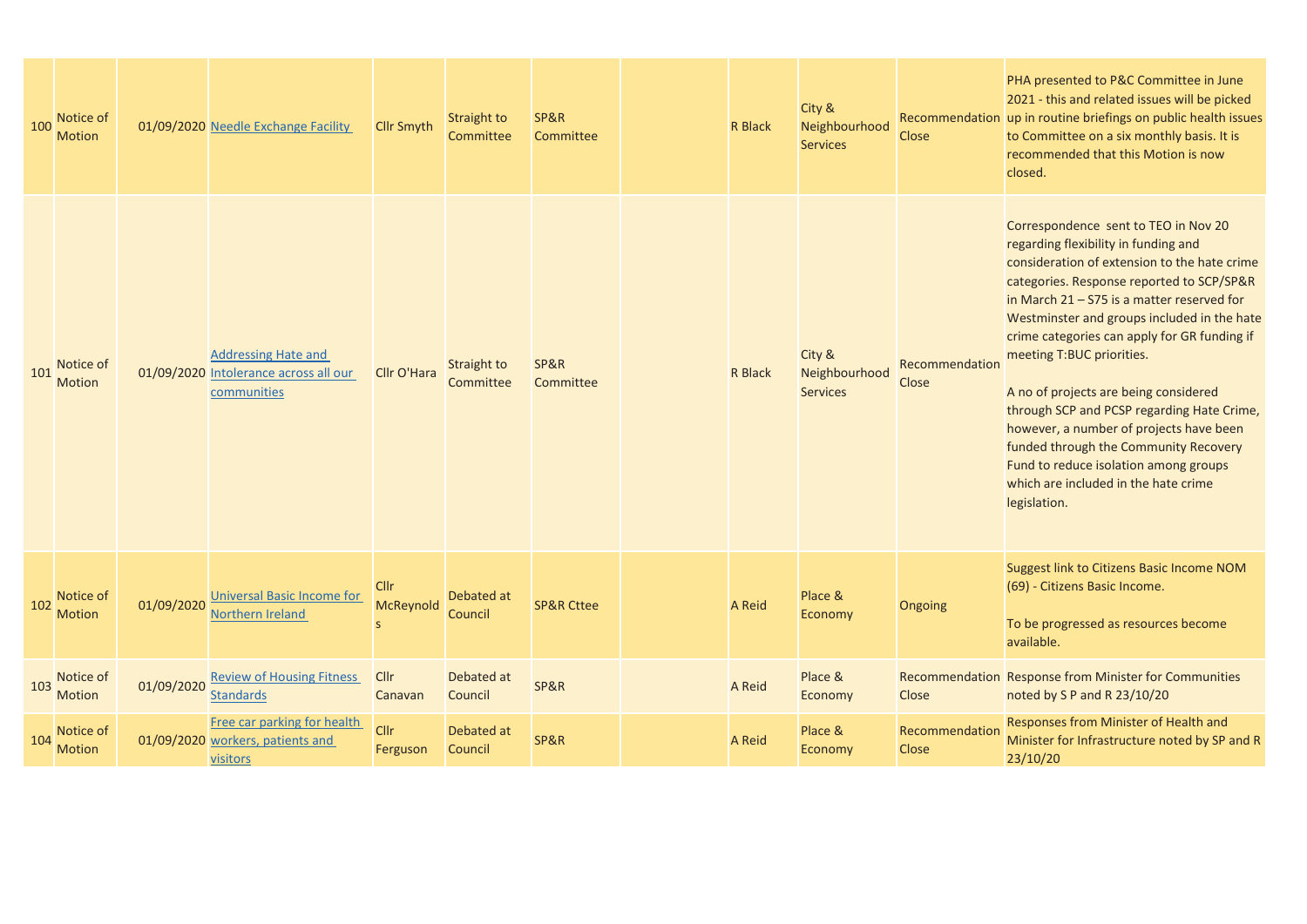| 100 | Notice of<br><b>Motion</b> |            | 01/09/2020 Needle Exchange Facility                                                | <b>Cllr Smyth</b>               | Straight to<br>Committee | SP&R<br>Committee     | R Black        | City &<br>Neighbourhood<br><b>Services</b> | <b>Close</b>                   | PHA presented to P&C Committee in June<br>2021 - this and related issues will be picked<br>Recommendation up in routine briefings on public health issues<br>to Committee on a six monthly basis. It is<br>recommended that this Motion is now<br>closed.                                                                                                                                                                                                                                                                                                                                                                         |
|-----|----------------------------|------------|------------------------------------------------------------------------------------|---------------------------------|--------------------------|-----------------------|----------------|--------------------------------------------|--------------------------------|-----------------------------------------------------------------------------------------------------------------------------------------------------------------------------------------------------------------------------------------------------------------------------------------------------------------------------------------------------------------------------------------------------------------------------------------------------------------------------------------------------------------------------------------------------------------------------------------------------------------------------------|
| 101 | Notice of<br><b>Motion</b> |            | <b>Addressing Hate and</b><br>01/09/2020 Intolerance across all our<br>communities | Cllr O'Hara                     | Straight to<br>Committee | SP&R<br>Committee     | <b>R</b> Black | City &<br>Neighbourhood<br><b>Services</b> | Recommendation<br><b>Close</b> | Correspondence sent to TEO in Nov 20<br>regarding flexibility in funding and<br>consideration of extension to the hate crime<br>categories. Response reported to SCP/SP&R<br>in March $21 - 575$ is a matter reserved for<br>Westminster and groups included in the hate<br>crime categories can apply for GR funding if<br>meeting T:BUC priorities.<br>A no of projects are being considered<br>through SCP and PCSP regarding Hate Crime,<br>however, a number of projects have been<br>funded through the Community Recovery<br>Fund to reduce isolation among groups<br>which are included in the hate crime<br>legislation. |
| 102 | Notice of<br><b>Motion</b> | 01/09/2020 | <b>Universal Basic Income for</b><br>Northern Ireland                              | <b>Cllr</b><br><b>McReynold</b> | Debated at<br>Council    | <b>SP&amp;R Cttee</b> | A Reid         | Place &<br>Economy                         | Ongoing                        | Suggest link to Citizens Basic Income NOM<br>(69) - Citizens Basic Income.<br>To be progressed as resources become<br>available.                                                                                                                                                                                                                                                                                                                                                                                                                                                                                                  |
| 103 | Notice of<br>Motion        | 01/09/2020 | <b>Review of Housing Fitness</b><br><b>Standards</b>                               | Cllr<br>Canavan                 | Debated at<br>Council    | SP&R                  | A Reid         | Place &<br>Economy                         | Close                          | Recommendation Response from Minister for Communities<br>noted by S P and R 23/10/20                                                                                                                                                                                                                                                                                                                                                                                                                                                                                                                                              |
| 104 | Notice of<br><b>Motion</b> |            | Free car parking for health<br>01/09/2020 workers, patients and<br><b>visitors</b> | <b>Cllr</b><br>Ferguson         | Debated at<br>Council    | SP&R                  | <b>A</b> Reid  | Place &<br>Economy                         | Recommendation<br><b>Close</b> | Responses from Minister of Health and<br>Minister for Infrastructure noted by SP and R<br>23/10/20                                                                                                                                                                                                                                                                                                                                                                                                                                                                                                                                |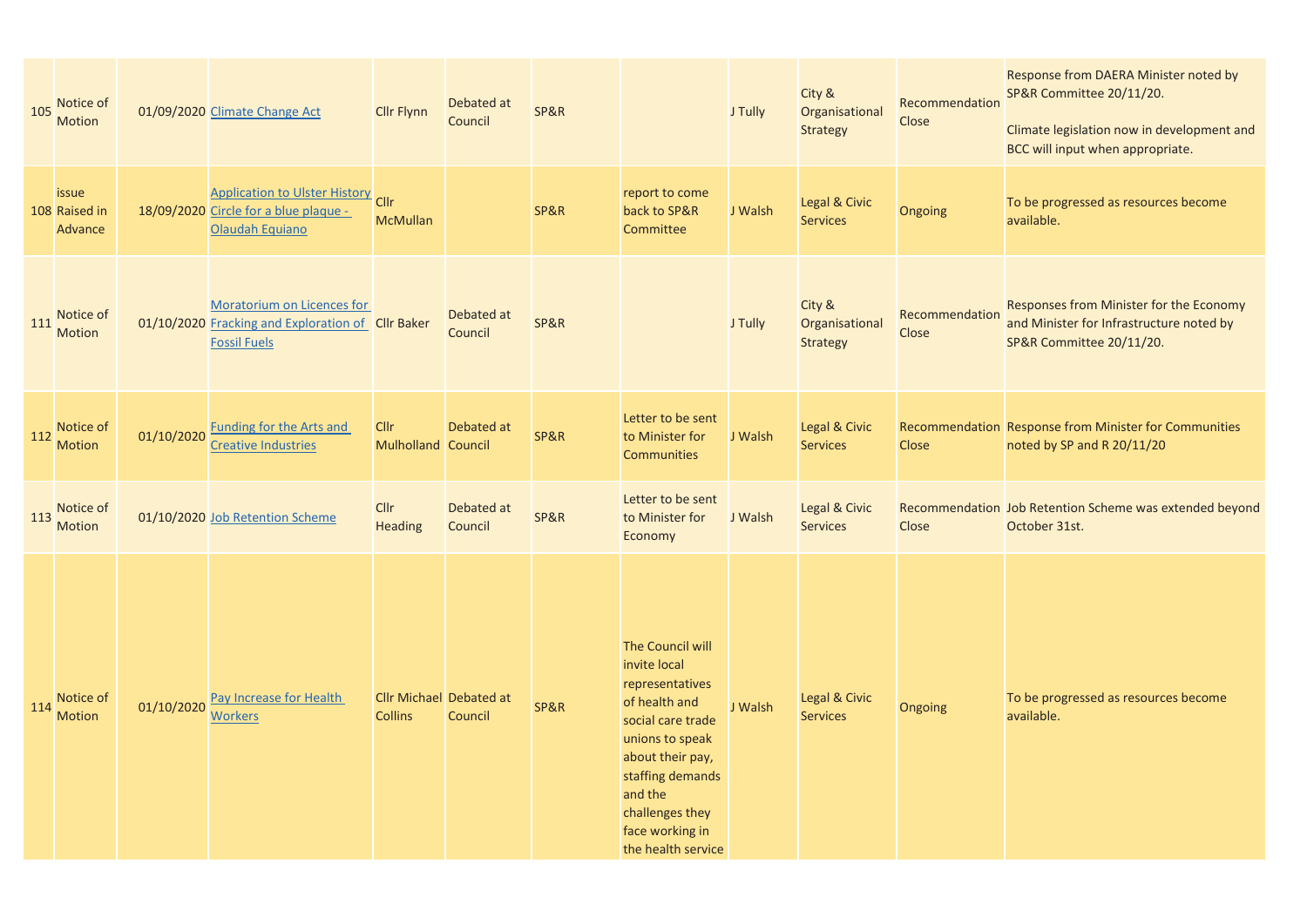| 105 | Notice of<br>Motion               |            | 01/09/2020 Climate Change Act                                                                          | <b>Cllr Flynn</b>                 | Debated at<br>Council                     | SP&R            |                                                                                                                                                                                                                             | J Tully | City &<br>Organisational<br><b>Strategy</b> | Recommendation<br>Close | Response from DAERA Minister noted by<br>SP&R Committee 20/11/20.<br>Climate legislation now in development and<br>BCC will input when appropriate. |
|-----|-----------------------------------|------------|--------------------------------------------------------------------------------------------------------|-----------------------------------|-------------------------------------------|-----------------|-----------------------------------------------------------------------------------------------------------------------------------------------------------------------------------------------------------------------------|---------|---------------------------------------------|-------------------------|-----------------------------------------------------------------------------------------------------------------------------------------------------|
|     | issue<br>108 Raised in<br>Advance |            | <b>Application to Ulster History</b> Cllr<br>18/09/2020 Circle for a blue plaque -<br>Olaudah Equiano  | <b>McMullan</b>                   |                                           | <b>SP&amp;R</b> | report to come<br>back to SP&R<br>Committee                                                                                                                                                                                 | J Walsh | Legal & Civic<br><b>Services</b>            | Ongoing                 | To be progressed as resources become<br>available.                                                                                                  |
| 111 | Notice of<br><b>Motion</b>        |            | Moratorium on Licences for<br>01/10/2020 Fracking and Exploration of Cllr Baker<br><b>Fossil Fuels</b> |                                   | Debated at<br>Council                     | SP&R            |                                                                                                                                                                                                                             | J Tully | City &<br>Organisational<br><b>Strategy</b> | Recommendation<br>Close | Responses from Minister for the Economy<br>and Minister for Infrastructure noted by<br>SP&R Committee 20/11/20.                                     |
| 112 | Notice of<br><b>Motion</b>        | 01/10/2020 | <b>Funding for the Arts and</b><br><b>Creative Industries</b>                                          | <b>Cllr</b><br>Mulholland Council | Debated at                                | <b>SP&amp;R</b> | Letter to be sent<br>to Minister for<br><b>Communities</b>                                                                                                                                                                  | J Walsh | Legal & Civic<br><b>Services</b>            | <b>Close</b>            | Recommendation Response from Minister for Communities<br>noted by SP and R 20/11/20                                                                 |
| 113 | Notice of<br><b>Motion</b>        |            | 01/10/2020 Job Retention Scheme                                                                        | <b>Cllr</b><br><b>Heading</b>     | Debated at<br>Council                     | <b>SP&amp;R</b> | Letter to be sent<br>to Minister for<br>Economy                                                                                                                                                                             | J Walsh | Legal & Civic<br><b>Services</b>            | <b>Close</b>            | Recommendation Job Retention Scheme was extended beyond<br>October 31st.                                                                            |
| 114 | Notice of<br><b>Motion</b>        | 01/10/2020 | Pay Increase for Health<br><b>Workers</b>                                                              | <b>Collins</b>                    | <b>Cllr Michael Debated at</b><br>Council | <b>SP&amp;R</b> | The Council will<br>invite local<br>representatives<br>of health and<br>social care trade<br>unions to speak<br>about their pay,<br>staffing demands<br>and the<br>challenges they<br>face working in<br>the health service | J Walsh | Legal & Civic<br><b>Services</b>            | Ongoing                 | To be progressed as resources become<br>available.                                                                                                  |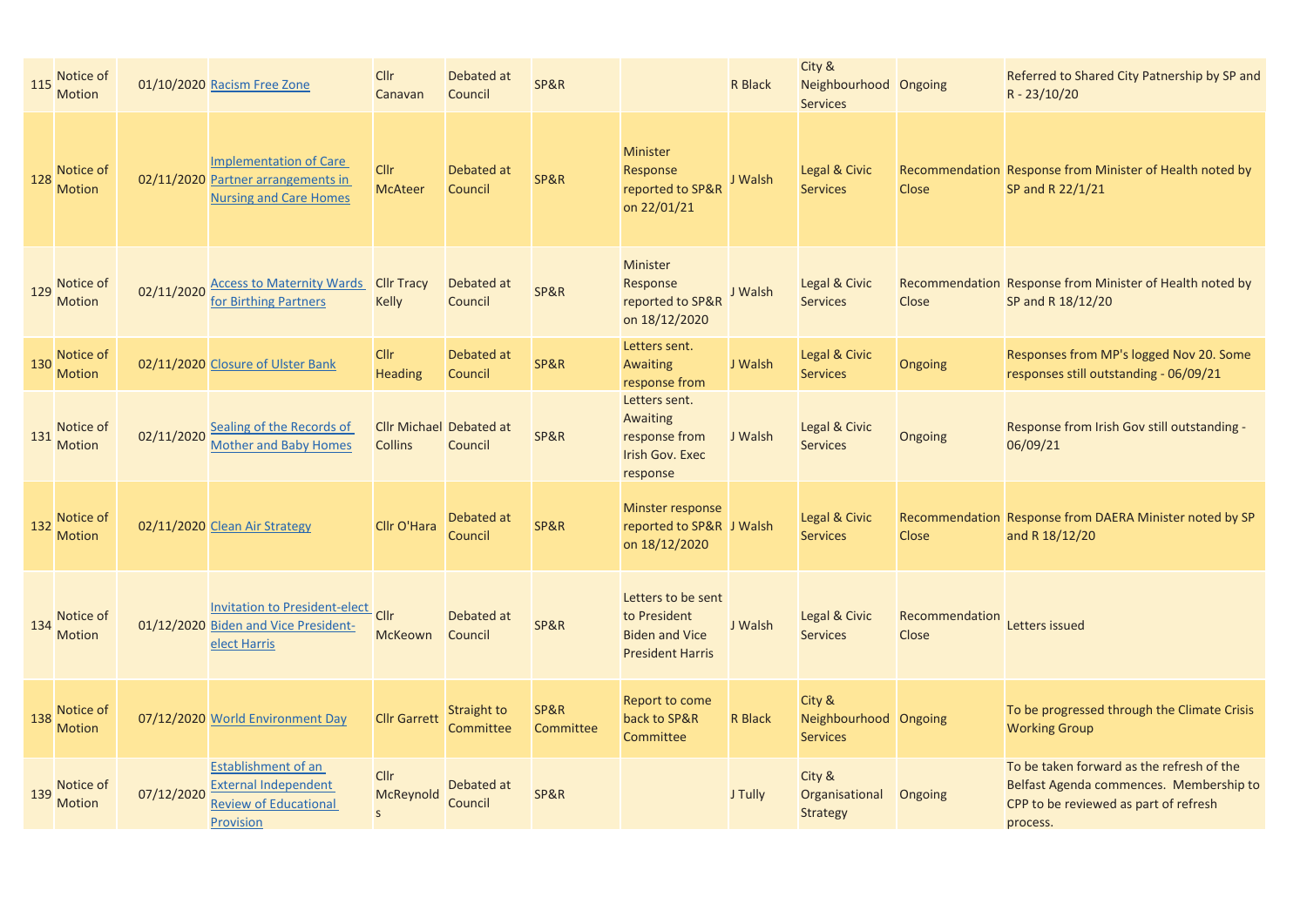| 115 | Notice of<br><b>Motion</b> |            | 01/10/2020 Racism Free Zone                                                                          | Cllr<br>Canavan                                  | Debated at<br>Council    | SP&R              |                                                                                        | R Black        | City &<br>Neighbourhood Ongoing<br><b>Services</b> |                         | Referred to Shared City Patnership by SP and<br>R - 23/10/20                                                                              |
|-----|----------------------------|------------|------------------------------------------------------------------------------------------------------|--------------------------------------------------|--------------------------|-------------------|----------------------------------------------------------------------------------------|----------------|----------------------------------------------------|-------------------------|-------------------------------------------------------------------------------------------------------------------------------------------|
| 128 | Notice of<br><b>Motion</b> |            | <b>Implementation of Care</b><br>02/11/2020 Partner arrangements in<br><b>Nursing and Care Homes</b> | <b>Cllr</b><br><b>McAteer</b>                    | Debated at<br>Council    | SP&R              | <b>Minister</b><br>Response<br>reported to SP&R<br>on 22/01/21                         | J Walsh        | Legal & Civic<br><b>Services</b>                   | <b>Close</b>            | Recommendation Response from Minister of Health noted by<br>SP and R 22/1/21                                                              |
| 129 | Notice of<br><b>Motion</b> | 02/11/2020 | <b>Access to Maternity Wards Cllr Tracy</b><br>for Birthing Partners                                 | <b>Kelly</b>                                     | Debated at<br>Council    | SP&R              | Minister<br>Response<br>reported to SP&R<br>on 18/12/2020                              | J Walsh        | Legal & Civic<br><b>Services</b>                   | Close                   | Recommendation Response from Minister of Health noted by<br>SP and R 18/12/20                                                             |
| 130 | Notice of<br><b>Motion</b> |            | 02/11/2020 Closure of Ulster Bank                                                                    | <b>Cllr</b><br><b>Heading</b>                    | Debated at<br>Council    | SP&R              | Letters sent.<br><b>Awaiting</b><br>response from                                      | J Walsh        | Legal & Civic<br><b>Services</b>                   | Ongoing                 | Responses from MP's logged Nov 20. Some<br>responses still outstanding - 06/09/21                                                         |
| 131 | Notice of<br><b>Motion</b> | 02/11/2020 | Sealing of the Records of<br><b>Mother and Baby Homes</b>                                            | <b>Cllr Michael Debated at</b><br><b>Collins</b> | Council                  | SP&R              | Letters sent.<br>Awaiting<br>response from<br><b>Irish Gov. Exec</b><br>response       | J Walsh        | Legal & Civic<br><b>Services</b>                   | Ongoing                 | Response from Irish Gov still outstanding -<br>06/09/21                                                                                   |
| 132 | Notice of<br><b>Motion</b> |            | 02/11/2020 Clean Air Strategy                                                                        | Cllr O'Hara                                      | Debated at<br>Council    | SP&R              | Minster response<br>reported to SP&R J Walsh<br>on 18/12/2020                          |                | Legal & Civic<br><b>Services</b>                   | <b>Close</b>            | Recommendation Response from DAERA Minister noted by SP<br>and R 18/12/20                                                                 |
| 134 | Notice of<br>Motion        |            | <b>Invitation to President-elect</b><br>01/12/2020 Biden and Vice President-<br>elect Harris         | Cllr<br><b>McKeown</b>                           | Debated at<br>Council    | SP&R              | Letters to be sent<br>to President<br><b>Biden and Vice</b><br><b>President Harris</b> | J Walsh        | Legal & Civic<br><b>Services</b>                   | Recommendation<br>Close | Letters issued                                                                                                                            |
| 138 | Notice of<br><b>Motion</b> |            | 07/12/2020 World Environment Day                                                                     | <b>Cllr Garrett</b>                              | Straight to<br>Committee | SP&R<br>Committee | Report to come<br>back to SP&R<br>Committee                                            | <b>R</b> Black | City &<br>Neighbourhood Ongoing<br><b>Services</b> |                         | To be progressed through the Climate Crisis<br><b>Working Group</b>                                                                       |
| 139 | Notice of<br><b>Motion</b> | 07/12/2020 | Establishment of an<br><b>External Independent</b><br><b>Review of Educational</b><br>Provision      | <b>Cllr</b><br>McReynold<br>$\mathsf{s}$         | Debated at<br>Council    | SP&R              |                                                                                        | J Tully        | City &<br>Organisational<br>Strategy               | Ongoing                 | To be taken forward as the refresh of the<br>Belfast Agenda commences. Membership to<br>CPP to be reviewed as part of refresh<br>process. |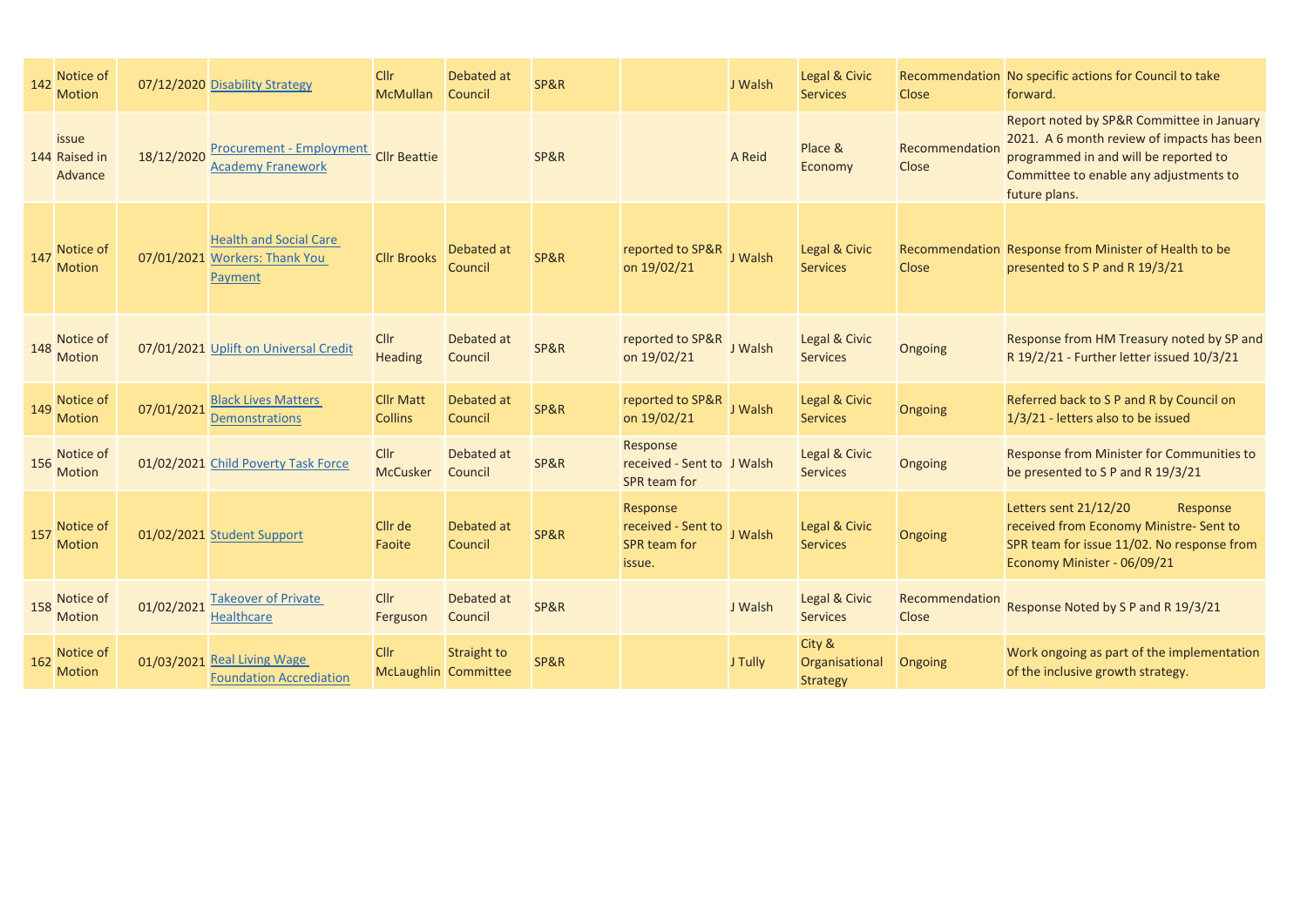| 142 | Notice of<br><b>Motion</b>        |            | 07/12/2020 Disability Strategy                                            | Cllr<br><b>McMullan</b>            | Debated at<br>Council        | SP&R |                                                                 | J Walsh | Legal & Civic<br><b>Services</b>            | <b>Close</b>                   | Recommendation No specific actions for Council to take<br>forward.                                                                                                                          |
|-----|-----------------------------------|------------|---------------------------------------------------------------------------|------------------------------------|------------------------------|------|-----------------------------------------------------------------|---------|---------------------------------------------|--------------------------------|---------------------------------------------------------------------------------------------------------------------------------------------------------------------------------------------|
|     | issue<br>144 Raised in<br>Advance | 18/12/2020 | <b>Procurement - Employment</b><br><b>Academy Franework</b>               | <b>Cllr Beattie</b>                |                              | SP&R |                                                                 | A Reid  | Place &<br>Economy                          | Recommendation<br><b>Close</b> | Report noted by SP&R Committee in January<br>2021. A 6 month review of impacts has been<br>programmed in and will be reported to<br>Committee to enable any adjustments to<br>future plans. |
| 147 | Notice of<br><b>Motion</b>        |            | <b>Health and Social Care</b><br>07/01/2021 Workers: Thank You<br>Payment | <b>Cllr Brooks</b>                 | Debated at<br>Council        | SP&R | reported to SP&R<br>on 19/02/21                                 | J Walsh | Legal & Civic<br><b>Services</b>            | Close                          | Recommendation Response from Minister of Health to be<br>presented to S P and R 19/3/21                                                                                                     |
| 148 | Notice of<br><b>Motion</b>        |            | 07/01/2021 Uplift on Universal Credit                                     | <b>Cllr</b><br><b>Heading</b>      | Debated at<br>Council        | SP&R | reported to SP&R<br>on 19/02/21                                 | J Walsh | Legal & Civic<br><b>Services</b>            | Ongoing                        | Response from HM Treasury noted by SP and<br>R 19/2/21 - Further letter issued 10/3/21                                                                                                      |
| 149 | Notice of<br><b>Motion</b>        | 07/01/2021 | <b>Black Lives Matters</b><br><b>Demonstrations</b>                       | <b>Cllr Matt</b><br><b>Collins</b> | Debated at<br><b>Council</b> | SP&R | reported to SP&R<br>on 19/02/21                                 | J Walsh | Legal & Civic<br><b>Services</b>            | Ongoing                        | Referred back to S P and R by Council on<br>1/3/21 - letters also to be issued                                                                                                              |
| 156 | Notice of<br><b>Motion</b>        |            | 01/02/2021 Child Poverty Task Force                                       | Cllr<br><b>McCusker</b>            | Debated at<br>Council        | SP&R | Response<br>received - Sent to J Walsh<br><b>SPR</b> team for   |         | Legal & Civic<br><b>Services</b>            | Ongoing                        | Response from Minister for Communities to<br>be presented to S P and R 19/3/21                                                                                                              |
| 157 | Notice of<br><b>Motion</b>        |            | 01/02/2021 Student Support                                                | Cllr de<br>Faoite                  | Debated at<br>Council        | SP&R | Response<br>received - Sent to<br><b>SPR team for</b><br>issue. | J Walsh | Legal & Civic<br><b>Services</b>            | Ongoing                        | Letters sent 21/12/20<br>Response<br>received from Economy Ministre- Sent to<br>SPR team for issue 11/02. No response from<br>Economy Minister - 06/09/21                                   |
| 158 | Notice of<br><b>Motion</b>        | 01/02/2021 | <b>Takeover of Private</b><br><b>Healthcare</b>                           | Cllr<br>Ferguson                   | Debated at<br>Council        | SP&R |                                                                 | J Walsh | Legal & Civic<br><b>Services</b>            | Recommendation<br>Close        | Response Noted by S P and R 19/3/21                                                                                                                                                         |
| 162 | Notice of<br><b>Motion</b>        |            | 01/03/2021 Real Living Wage<br><b>Foundation Accrediation</b>             | Cllr<br>McLaughlin Committee       | Straight to                  | SP&R |                                                                 | J Tully | City &<br>Organisational<br><b>Strategy</b> | Ongoing                        | Work ongoing as part of the implementation<br>of the inclusive growth strategy.                                                                                                             |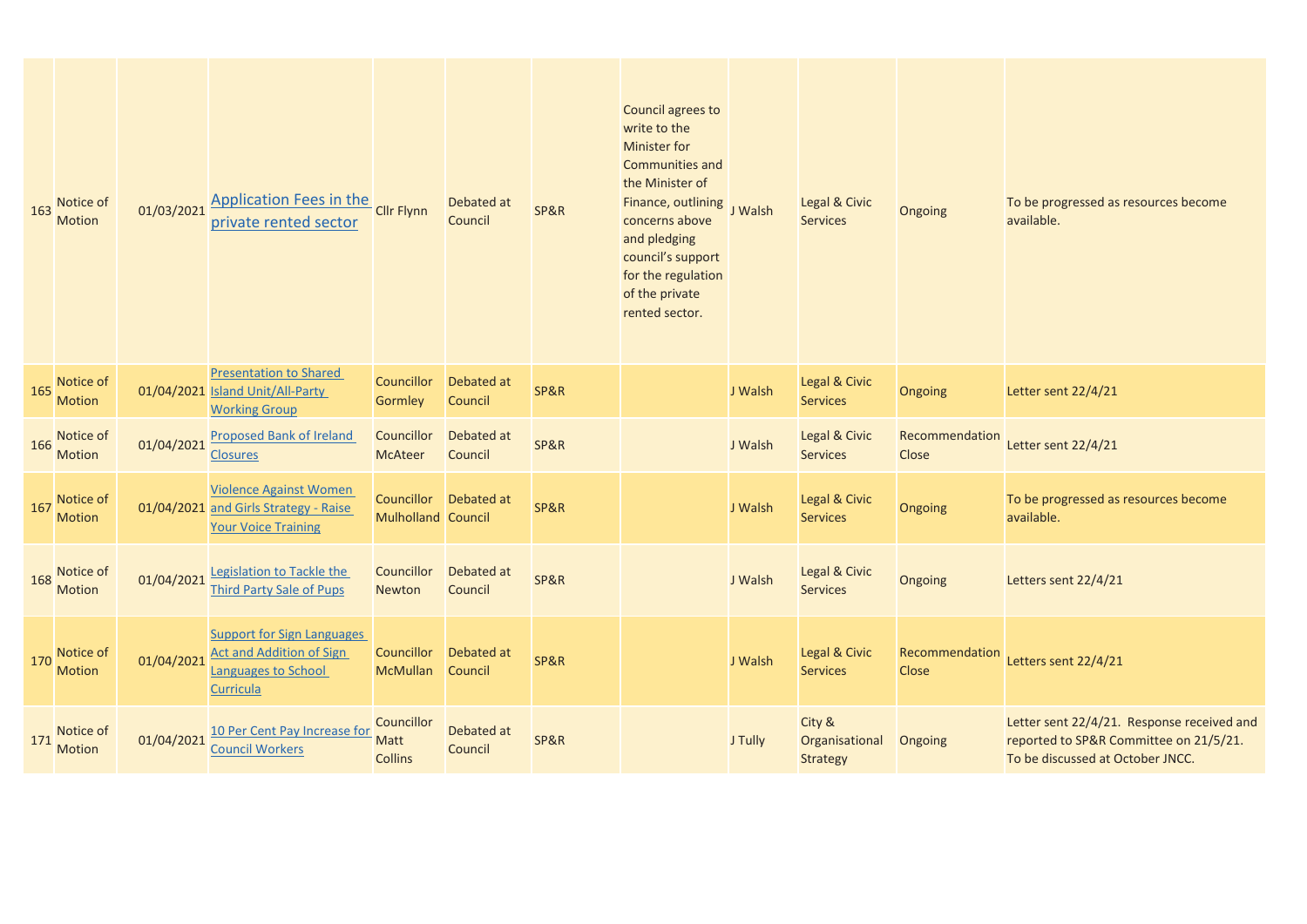| 163 | Notice of<br><b>Motion</b> | 01/03/2021 | <b>Application Fees in the</b><br>private rented sector                                                  | <b>Cllr Flynn</b>                    | Debated at<br>Council  | SP&R | Council agrees to<br>write to the<br><b>Minister for</b><br><b>Communities and</b><br>the Minister of<br>Finance, outlining<br>concerns above<br>and pledging<br>council's support<br>for the regulation<br>of the private<br>rented sector. | J Walsh | Legal & Civic<br><b>Services</b>            | Ongoing                 | To be progressed as resources become<br>available.                                                                       |
|-----|----------------------------|------------|----------------------------------------------------------------------------------------------------------|--------------------------------------|------------------------|------|----------------------------------------------------------------------------------------------------------------------------------------------------------------------------------------------------------------------------------------------|---------|---------------------------------------------|-------------------------|--------------------------------------------------------------------------------------------------------------------------|
| 165 | Notice of<br><b>Motion</b> |            | <b>Presentation to Shared</b><br>01/04/2021 Island Unit/All-Party<br><b>Working Group</b>                | <b>Councillor</b><br><b>Gormley</b>  | Debated at<br>Council  | SP&R |                                                                                                                                                                                                                                              | J Walsh | Legal & Civic<br><b>Services</b>            | Ongoing                 | Letter sent 22/4/21                                                                                                      |
| 166 | Notice of<br>Motion        | 01/04/2021 | <b>Proposed Bank of Ireland</b><br><b>Closures</b>                                                       | Councillor<br><b>McAteer</b>         | Debated at<br>Council  | SP&R |                                                                                                                                                                                                                                              | J Walsh | Legal & Civic<br><b>Services</b>            | Recommendation<br>Close | Letter sent 22/4/21                                                                                                      |
| 167 | Notice of<br><b>Motion</b> |            | <b>Violence Against Women</b><br>01/04/2021 and Girls Strategy - Raise<br><b>Your Voice Training</b>     | <b>Mulholland Council</b>            | Councillor  Debated at | SP&R |                                                                                                                                                                                                                                              | J Walsh | Legal & Civic<br><b>Services</b>            | Ongoing                 | To be progressed as resources become<br>available.                                                                       |
| 168 | Notice of<br><b>Motion</b> | 01/04/2021 | Legislation to Tackle the<br><b>Third Party Sale of Pups</b>                                             | Councillor<br>Newton                 | Debated at<br>Council  | SP&R |                                                                                                                                                                                                                                              | J Walsh | Legal & Civic<br><b>Services</b>            | Ongoing                 | Letters sent 22/4/21                                                                                                     |
| 170 | Notice of<br><b>Motion</b> | 01/04/2021 | <b>Support for Sign Languages</b><br><b>Act and Addition of Sign</b><br>Languages to School<br>Curricula | Councillor<br><b>McMullan</b>        | Debated at<br>Council  | SP&R |                                                                                                                                                                                                                                              | J Walsh | Legal & Civic<br><b>Services</b>            | Recommendation<br>Close | Letters sent 22/4/21                                                                                                     |
| 171 | Notice of<br><b>Motion</b> | 01/04/2021 | 10 Per Cent Pay Increase for<br><b>Council Workers</b>                                                   | Councillor<br>Matt<br><b>Collins</b> | Debated at<br>Council  | SP&R |                                                                                                                                                                                                                                              | J Tully | City &<br>Organisational<br><b>Strategy</b> | Ongoing                 | Letter sent 22/4/21. Response received and<br>reported to SP&R Committee on 21/5/21.<br>To be discussed at October JNCC. |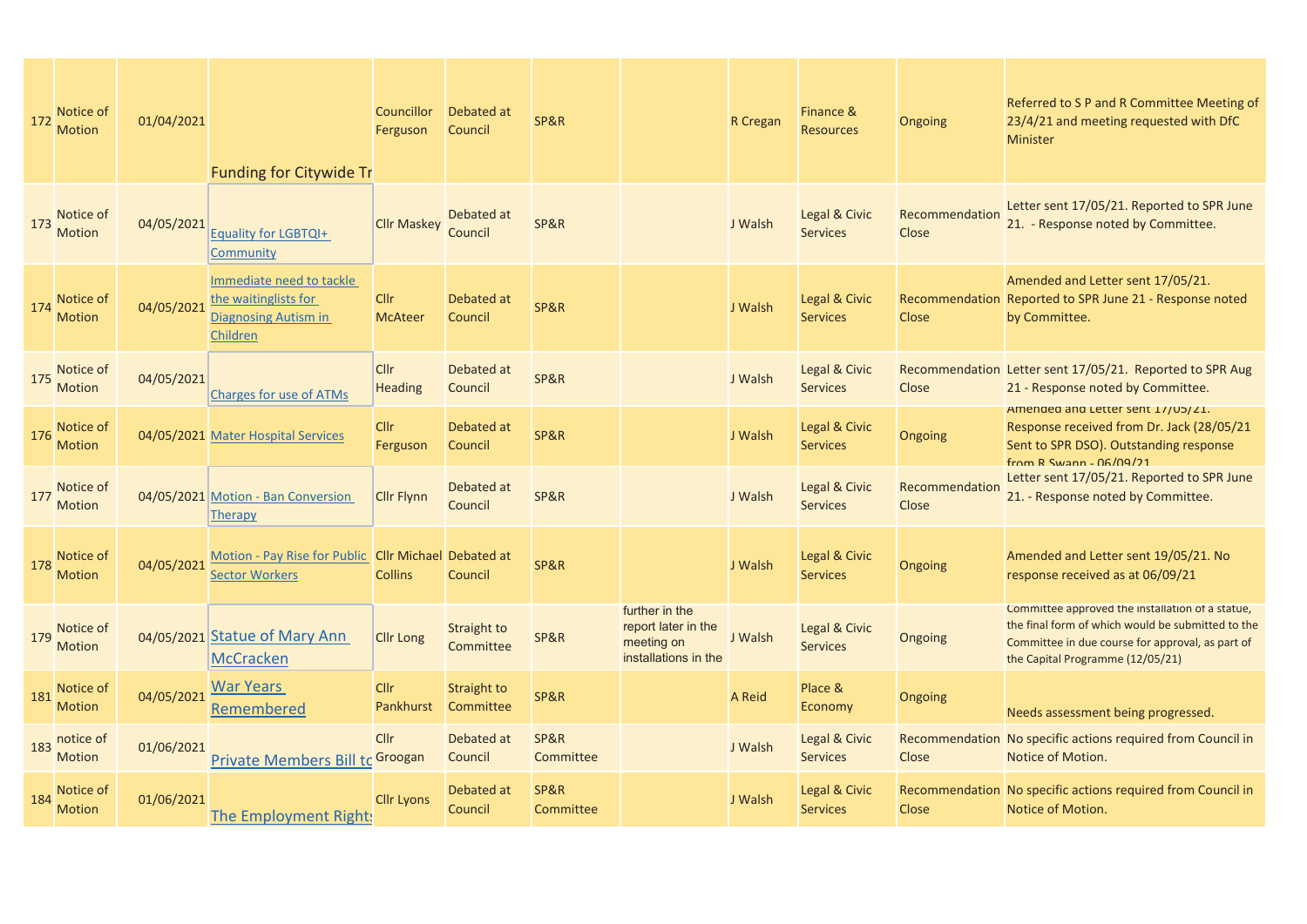| 172 | Notice of<br><b>Motion</b> | 01/04/2021 | <b>Funding for Citywide Tr</b>                                                       | <b>Councillor</b><br>Ferguson | Debated at<br>Council           | SP&R              |                                                                             | R Cregan | Finance &<br><b>Resources</b>    | Ongoing                 | Referred to S P and R Committee Meeting of<br>23/4/21 and meeting requested with DfC<br>Minister                                                                                              |
|-----|----------------------------|------------|--------------------------------------------------------------------------------------|-------------------------------|---------------------------------|-------------------|-----------------------------------------------------------------------------|----------|----------------------------------|-------------------------|-----------------------------------------------------------------------------------------------------------------------------------------------------------------------------------------------|
| 173 | Notice of<br><b>Motion</b> | 04/05/2021 | Equality for LGBTQI+<br>Community                                                    | <b>Cllr Maskey</b>            | Debated at<br>Council           | SP&R              |                                                                             | J Walsh  | Legal & Civic<br><b>Services</b> | Recommendation<br>Close | Letter sent 17/05/21. Reported to SPR June<br>21. - Response noted by Committee.                                                                                                              |
| 174 | Notice of<br>Motion        | 04/05/2021 | Immediate need to tackle<br>the waitinglists for<br>Diagnosing Autism in<br>Children | <b>Cllr</b><br><b>McAteer</b> | Debated at<br>Council           | SP&R              |                                                                             | J Walsh  | Legal & Civic<br><b>Services</b> | Close                   | Amended and Letter sent 17/05/21.<br>Recommendation Reported to SPR June 21 - Response noted<br>by Committee.                                                                                 |
| 175 | Notice of<br><b>Motion</b> | 04/05/2021 | <b>Charges for use of ATMs</b>                                                       | <b>Cllr</b><br>Heading        | Debated at<br>Council           | SP&R              |                                                                             | J Walsh  | Legal & Civic<br><b>Services</b> | Close                   | Recommendation Letter sent 17/05/21. Reported to SPR Aug<br>21 - Response noted by Committee.                                                                                                 |
| 176 | Notice of<br><b>Motion</b> |            | 04/05/2021 Mater Hospital Services                                                   | <b>Cllr</b><br>Ferguson       | Debated at<br>Council           | SP&R              |                                                                             | J Walsh  | Legal & Civic<br><b>Services</b> | Ongoing                 | Amended and Letter sent 1//05/21.<br>Response received from Dr. Jack (28/05/21<br>Sent to SPR DSO). Outstanding response<br>from R Swann - 06/09/21                                           |
| 177 | Notice of<br><b>Motion</b> |            | 04/05/2021 Motion - Ban Conversion<br>Therapy                                        | <b>Clir Flynn</b>             | Debated at<br>Council           | SP&R              |                                                                             | J Walsh  | Legal & Civic<br><b>Services</b> | Recommendation<br>Close | Letter sent 17/05/21. Reported to SPR June<br>21. - Response noted by Committee.                                                                                                              |
| 178 | Notice of<br><b>Motion</b> | 04/05/2021 | Motion - Pay Rise for Public Cllr Michael Debated at<br><b>Sector Workers</b>        | <b>Collins</b>                | Council                         | SP&R              |                                                                             | J Walsh  | Legal & Civic<br><b>Services</b> | Ongoing                 | Amended and Letter sent 19/05/21. No<br>response received as at 06/09/21                                                                                                                      |
| 179 | Notice of<br>Motion        |            | 04/05/2021 Statue of Mary Ann<br><b>McCracken</b>                                    | <b>Cllr Long</b>              | Straight to<br>Committee        | SP&R              | further in the<br>report later in the<br>meeting on<br>installations in the | J Walsh  | Legal & Civic<br><b>Services</b> | Ongoing                 | Committee approved the installation of a statue,<br>the final form of which would be submitted to the<br>Committee in due course for approval, as part of<br>the Capital Programme (12/05/21) |
| 181 | Notice of<br><b>Motion</b> | 04/05/2021 | War Years<br>Remembered                                                              | Cllr<br>Pankhurst             | <b>Straight to</b><br>Committee | SP&R              |                                                                             | A Reid   | Place &<br>Economy               | Ongoing                 | Needs assessment being progressed.                                                                                                                                                            |
| 183 | notice of<br><b>Motion</b> | 01/06/2021 | <b>Private Members Bill to Groogan</b>                                               | Cllr                          | Debated at<br>Council           | SP&R<br>Committee |                                                                             | J Walsh  | Legal & Civic<br><b>Services</b> | Close                   | Recommendation No specific actions required from Council in<br>Notice of Motion.                                                                                                              |
| 184 | Notice of<br><b>Motion</b> | 01/06/2021 | The Employment Rights                                                                | <b>Cllr Lyons</b>             | Debated at<br>Council           | SP&R<br>Committee |                                                                             | J Walsh  | Legal & Civic<br><b>Services</b> | Close                   | Recommendation No specific actions required from Council in<br>Notice of Motion.                                                                                                              |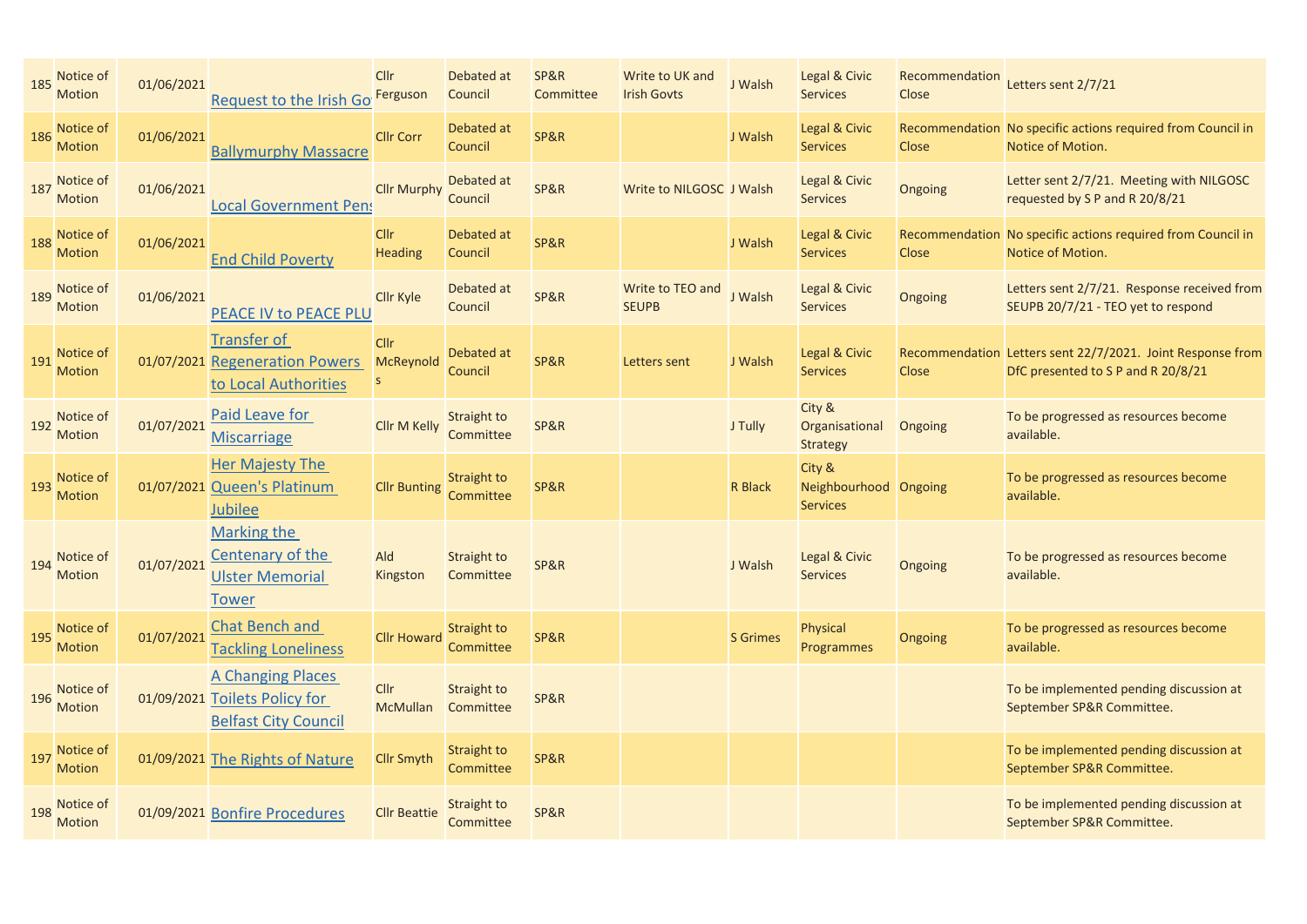| 185 | Notice of<br><b>Motion</b> | 01/06/2021 | Request to the Irish Go                                                                  | <b>Cllr</b><br>Ferguson                 | Debated at<br>Council    | <b>SP&amp;R</b><br>Committee | Write to UK and<br><b>Irish Govts</b> | J Walsh         | Legal & Civic<br><b>Services</b>                   | Recommendation<br>Close | Letters sent 2/7/21                                                                              |
|-----|----------------------------|------------|------------------------------------------------------------------------------------------|-----------------------------------------|--------------------------|------------------------------|---------------------------------------|-----------------|----------------------------------------------------|-------------------------|--------------------------------------------------------------------------------------------------|
| 186 | Notice of<br><b>Motion</b> | 01/06/2021 | <b>Ballymurphy Massacre</b>                                                              | <b>Cllr Corr</b>                        | Debated at<br>Council    | SP&R                         |                                       | J Walsh         | Legal & Civic<br><b>Services</b>                   | <b>Close</b>            | Recommendation No specific actions required from Council in<br>Notice of Motion.                 |
| 187 | Notice of<br><b>Motion</b> | 01/06/2021 | <b>Local Government Pens</b>                                                             | <b>Cllr Murphy</b>                      | Debated at<br>Council    | <b>SP&amp;R</b>              | Write to NILGOSC J Walsh              |                 | Legal & Civic<br><b>Services</b>                   | Ongoing                 | Letter sent 2/7/21. Meeting with NILGOSC<br>requested by S P and R 20/8/21                       |
| 188 | Notice of<br><b>Motion</b> | 01/06/2021 | <b>End Child Poverty</b>                                                                 | <b>Cllr</b><br><b>Heading</b>           | Debated at<br>Council    | SP&R                         |                                       | J Walsh         | Legal & Civic<br><b>Services</b>                   | <b>Close</b>            | Recommendation No specific actions required from Council in<br>Notice of Motion.                 |
| 189 | Notice of<br><b>Motion</b> | 01/06/2021 | PEACE IV to PEACE PLU                                                                    | <b>Cllr Kyle</b>                        | Debated at<br>Council    | <b>SP&amp;R</b>              | Write to TEO and<br><b>SEUPB</b>      | J Walsh         | Legal & Civic<br><b>Services</b>                   | Ongoing                 | Letters sent 2/7/21. Response received from<br>SEUPB 20/7/21 - TEO yet to respond                |
| 191 | Notice of<br><b>Motion</b> |            | <b>Transfer of</b><br>01/07/2021 Regeneration Powers<br>to Local Authorities             | <b>Cllr</b><br>McReynold<br>$\mathsf S$ | Debated at<br>Council    | SP&R                         | Letters sent                          | J Walsh         | Legal & Civic<br><b>Services</b>                   | <b>Close</b>            | Recommendation Letters sent 22/7/2021. Joint Response from<br>DfC presented to S P and R 20/8/21 |
| 192 | Notice of<br><b>Motion</b> | 01/07/2021 | Paid Leave for<br><b>Miscarriage</b>                                                     | <b>Cllr M Kelly</b>                     | Straight to<br>Committee | <b>SP&amp;R</b>              |                                       | J Tully         | City &<br>Organisational<br><b>Strategy</b>        | Ongoing                 | To be progressed as resources become<br>available.                                               |
| 193 | Notice of<br><b>Motion</b> |            | <b>Her Majesty The</b><br>01/07/2021 Queen's Platinum<br><b>Jubilee</b>                  | <b>Cllr Bunting</b>                     | Straight to<br>Committee | SP&R                         |                                       | <b>R</b> Black  | City &<br>Neighbourhood Ongoing<br><b>Services</b> |                         | To be progressed as resources become<br>available.                                               |
| 194 | Notice of<br><b>Motion</b> | 01/07/2021 | <b>Marking the</b><br>Centenary of the<br><b>Ulster Memorial</b><br><b>Tower</b>         | Ald<br>Kingston                         | Straight to<br>Committee | SP&R                         |                                       | J Walsh         | Legal & Civic<br><b>Services</b>                   | Ongoing                 | To be progressed as resources become<br>available.                                               |
| 195 | Notice of<br><b>Motion</b> | 01/07/2021 | Chat Bench and<br><b>Tackling Loneliness</b>                                             | <b>Cllr Howard</b>                      | Straight to<br>Committee | SP&R                         |                                       | <b>S</b> Grimes | Physical<br>Programmes                             | Ongoing                 | To be progressed as resources become<br>available.                                               |
| 196 | Notice of<br>Motion        |            | <b>A Changing Places</b><br>01/09/2021 Toilets Policy for<br><b>Belfast City Council</b> | <b>Cllr</b><br><b>McMullan</b>          | Straight to<br>Committee | <b>SP&amp;R</b>              |                                       |                 |                                                    |                         | To be implemented pending discussion at<br>September SP&R Committee.                             |
| 197 | Notice of<br><b>Motion</b> |            | 01/09/2021 The Rights of Nature                                                          | <b>Cllr Smyth</b>                       | Straight to<br>Committee | SP&R                         |                                       |                 |                                                    |                         | To be implemented pending discussion at<br>September SP&R Committee.                             |
| 198 | Notice of<br><b>Motion</b> |            | 01/09/2021 Bonfire Procedures                                                            | <b>Cllr Beattie</b>                     | Straight to<br>Committee | <b>SP&amp;R</b>              |                                       |                 |                                                    |                         | To be implemented pending discussion at<br>September SP&R Committee.                             |